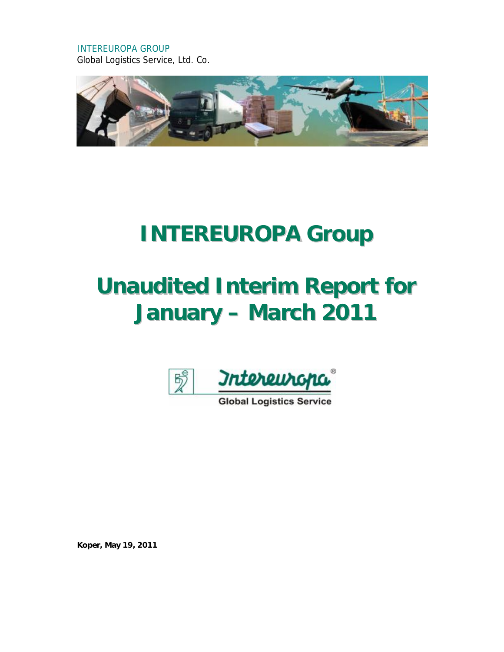INTEREUROPA GROUP Global Logistics Service, Ltd. Co.



# **INTEREUROPA Group**

# **Unaudited Interim Report for January – March 2011**



**Global Logistics Service** 

**Koper, May 19, 2011**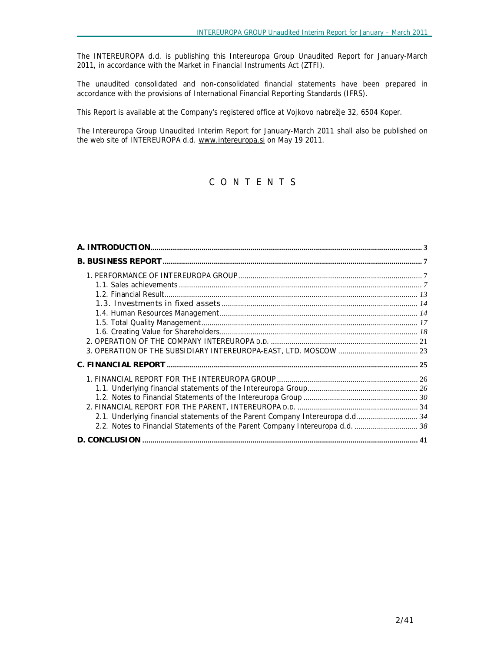The INTEREUROPA d.d. is publishing this Intereuropa Group Unaudited Report for January-March 2011, in accordance with the Market in Financial Instruments Act (ZTFI).

The unaudited consolidated and non-consolidated financial statements have been prepared in accordance with the provisions of International Financial Reporting Standards (IFRS).

This Report is available at the Company's registered office at Vojkovo nabrežje 32, 6504 Koper.

The Intereuropa Group Unaudited Interim Report for January-March 2011 shall also be published on the web site of INTEREUROPA d.d. [www.intereuropa.si](http://www.intereuropa.si) on May 19 2011.

# *C O N T E N T S*

| 2.1. Underlying financial statements of the Parent Company Intereuropa d.d 34 |  |
|-------------------------------------------------------------------------------|--|
| 2.2. Notes to Financial Statements of the Parent Company Intereuropa d.d.  38 |  |
|                                                                               |  |
|                                                                               |  |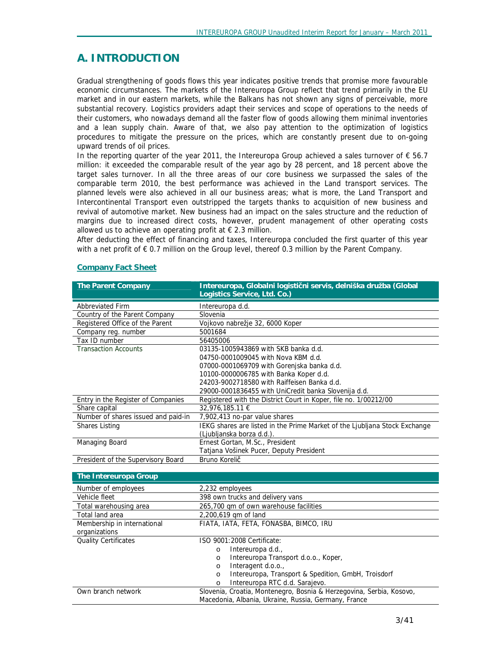# **A. INTRODUCTION**

Gradual strengthening of goods flows this year indicates positive trends that promise more favourable economic circumstances. The markets of the Intereuropa Group reflect that trend primarily in the EU market and in our eastern markets, while the Balkans has not shown any signs of perceivable, more substantial recovery. Logistics providers adapt their services and scope of operations to the needs of their customers, who nowadays demand all the faster flow of goods allowing them minimal inventories and a lean supply chain. Aware of that, we also pay attention to the optimization of logistics procedures to mitigate the pressure on the prices, which are constantly present due to on-going upward trends of oil prices.

In the reporting quarter of the year 2011, the Intereuropa Group achieved a sales turnover of  $\epsilon$  56.7 million: it exceeded the comparable result of the year ago by 28 percent, and 18 percent above the target sales turnover. In all the three areas of our core business we surpassed the sales of the comparable term 2010, the best performance was achieved in the Land transport services. The planned levels were also achieved in all our business areas; what is more, the Land Transport and Intercontinental Transport even outstripped the targets thanks to acquisition of new business and revival of automotive market. New business had an impact on the sales structure and the reduction of margins due to increased direct costs, however, prudent management of other operating costs allowed us to achieve an operating profit at  $\epsilon$  2.3 million.

After deducting the effect of financing and taxes, Intereuropa concluded the first quarter of this year with a net profit of € 0.7 million on the Group level, thereof 0.3 million by the Parent Company.

| <b>The Parent Company</b>           | Intereuropa, Globalni logistični servis, delniška družba (Global<br>Logistics Service, Ltd. Co.)                             |
|-------------------------------------|------------------------------------------------------------------------------------------------------------------------------|
| <b>Abbreviated Firm</b>             | Intereuropa d.d.                                                                                                             |
| Country of the Parent Company       | Slovenia                                                                                                                     |
| Registered Office of the Parent     | Vojkovo nabrežje 32, 6000 Koper                                                                                              |
| Company reg. number                 | 5001684                                                                                                                      |
| Tax ID number                       | 56405006                                                                                                                     |
| <b>Transaction Accounts</b>         | 03135-1005943869 with SKB banka d.d.                                                                                         |
|                                     | 04750-0001009045 with Nova KBM d.d.                                                                                          |
|                                     | 07000-0001069709 with Goreniska banka d.d.                                                                                   |
|                                     | 10100-0000006785 with Banka Koper d.d.                                                                                       |
|                                     | 24203-9002718580 with Raiffeisen Banka d.d.                                                                                  |
|                                     | 29000-0001836455 with UniCredit banka Slovenija d.d.                                                                         |
| Entry in the Register of Companies  | Registered with the District Court in Koper, file no. 1/00212/00                                                             |
| Share capital                       | 32,976,185.11 €                                                                                                              |
| Number of shares issued and paid-in | 7,902,413 no-par value shares                                                                                                |
| <b>Shares Listing</b>               | IEKG shares are listed in the Prime Market of the Ljubljana Stock Exchange                                                   |
|                                     | (Ljubljanska borza d.d.).                                                                                                    |
| Managing Board                      | Ernest Gortan, M.Sc., President                                                                                              |
|                                     | Tatjana Vošinek Pucer, Deputy President                                                                                      |
| President of the Supervisory Board  | Bruno Korelič                                                                                                                |
| The Intereuropa Group               |                                                                                                                              |
| Number of employees                 | 2,232 employees                                                                                                              |
| Vehicle fleet                       | 398 own trucks and delivery vans                                                                                             |
| Total warehousing area              | 265,700 qm of own warehouse facilities                                                                                       |
| Total land area                     | 2,200,619 gm of land                                                                                                         |
| Membership in international         | FIATA, IATA, FETA, FONASBA, BIMCO, IRU                                                                                       |
| organizations                       |                                                                                                                              |
| <b>Quality Certificates</b>         | ISO 9001:2008 Certificate:                                                                                                   |
|                                     | Intereuropa d.d.,<br>$\circ$                                                                                                 |
|                                     | Intereuropa Transport d.o.o., Koper,<br>$\circ$                                                                              |
|                                     | Interagent d.o.o.,<br>$\circ$                                                                                                |
|                                     | Intereuropa, Transport & Spedition, GmbH, Troisdorf<br>$\circ$                                                               |
|                                     | Intereuropa RTC d.d. Sarajevo.<br>$\circ$                                                                                    |
| Own branch network                  | Slovenia, Croatia, Montenegro, Bosnia & Herzegovina, Serbia, Kosovo,<br>Macedonia, Albania, Ukraine, Russia, Germany, France |

#### **Company Fact Sheet**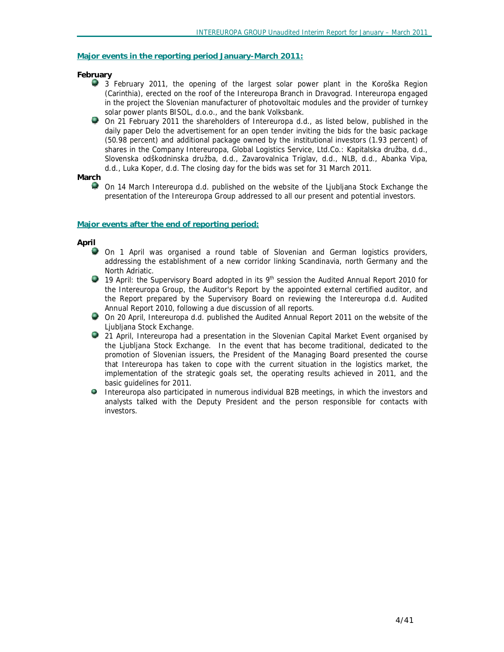#### **Major events in the reporting period January-March 2011:**

#### *February*

- 3 February 2011, the opening of the largest solar power plant in the Koroška Region (Carinthia), erected on the roof of the Intereuropa Branch in Dravograd. Intereuropa engaged in the project the Slovenian manufacturer of photovoltaic modules and the provider of turnkey solar power plants BISOL, d.o.o., and the bank Volksbank.
- On 21 February 2011 the shareholders of Intereuropa d.d., as listed below, published in the daily paper Delo the advertisement for an open tender inviting the bids for the basic package (50.98 percent) and additional package owned by the institutional investors (1.93 percent) of shares in the Company Intereuropa, Global Logistics Service, Ltd.Co.: Kapitalska družba, d.d., Slovenska odškodninska družba, d.d., Zavarovalnica Triglav, d.d., NLB, d.d., Abanka Vipa, d.d., Luka Koper, d.d. The closing day for the bids was set for 31 March 2011.

*March* 

勢 On 14 March Intereuropa d.d. published on the website of the Ljubljana Stock Exchange the presentation of the Intereuropa Group addressed to all our present and potential investors.

#### **Major events after the end of reporting period:**

*April* 

- On 1 April was organised a round table of Slovenian and German logistics providers, addressing the establishment of a new corridor linking Scandinavia, north Germany and the North Adriatic.
- 19 April: the Supervisory Board adopted in its 9<sup>th</sup> session the Audited Annual Report 2010 for the Intereuropa Group, the Auditor's Report by the appointed external certified auditor, and the Report prepared by the Supervisory Board on reviewing the Intereuropa d.d. Audited Annual Report 2010, following a due discussion of all reports.
- On 20 April, Intereuropa d.d. published the Audited Annual Report 2011 on the website of the Ljubljana Stock Exchange.
- 党 21 April, Intereuropa had a presentation in the Slovenian Capital Market Event organised by the Ljubljana Stock Exchange. In the event that has become traditional, dedicated to the promotion of Slovenian issuers, the President of the Managing Board presented the course that Intereuropa has taken to cope with the current situation in the logistics market, the implementation of the strategic goals set, the operating results achieved in 2011, and the basic guidelines for 2011.
- $\bullet$ Intereuropa also participated in numerous individual B2B meetings, in which the investors and analysts talked with the Deputy President and the person responsible for contacts with investors.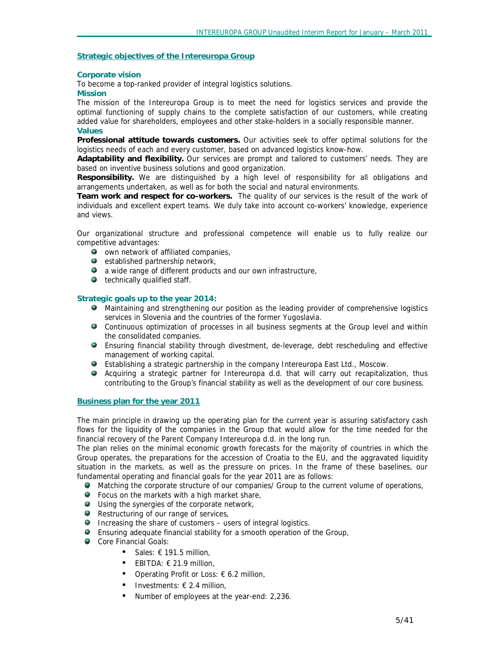## **Strategic objectives of the Intereuropa Group**

#### **Corporate vision**

To become a top-ranked provider of integral logistics solutions.

#### **Mission**

The mission of the Intereuropa Group is to meet the need for logistics services and provide the optimal functioning of supply chains to the complete satisfaction of our customers, while creating added value for shareholders, employees and other stake-holders in a socially responsible manner. **Values** 

**Professional attitude towards customers.** Our activities seek to offer optimal solutions for the logistics needs of each and every customer, based on advanced logistics know-how.

**Adaptability and flexibility.** Our services are prompt and tailored to customers' needs. They are based on inventive business solutions and good organization.

**Responsibility.** We are distinguished by a high level of responsibility for all obligations and arrangements undertaken, as well as for both the social and natural environments.

**Team work and respect for co-workers.** The quality of our services is the result of the work of individuals and excellent expert teams. We duly take into account co-workers' knowledge, experience and views.

Our organizational structure and professional competence will enable us to fully realize our competitive advantages:

- $\bullet$  own network of affiliated companies,
- $\bullet$  established partnership network,
- **a** a wide range of different products and our own infrastructure,
- $\bullet$  technically qualified staff.

# **Strategic goals up to the year 2014:**

- **Maintaining and strengthening our position as the leading provider of comprehensive logistics** services in Slovenia and the countries of the former Yugoslavia.
- Continuous optimization of processes in all business segments at the Group level and within the consolidated companies.
- Ensuring financial stability through divestment, de-leverage, debt rescheduling and effective management of working capital.
- Establishing a strategic partnership in the company Intereuropa East Ltd., Moscow.
- Acquiring a strategic partner for Intereuropa d.d. that will carry out recapitalization, thus contributing to the Group's financial stability as well as the development of our core business.

#### **Business plan for the year 2011**

The main principle in drawing up the operating plan for the current year is assuring satisfactory cash flows for the liquidity of the companies in the Group that would allow for the time needed for the financial recovery of the Parent Company Intereuropa d.d. in the long run.

The plan relies on the minimal economic growth forecasts for the majority of countries in which the Group operates, the preparations for the accession of Croatia to the EU, and the aggravated liquidity situation in the markets, as well as the pressure on prices. In the frame of these baselines, our fundamental operating and financial goals for the year 2011 are as follows:

- Matching the corporate structure of our companies/ Group to the current volume of operations,
- **•** Focus on the markets with a high market share,
- Using the synergies of the corporate network,
- Restructuring of our range of services,
- **Increasing the share of customers users of integral logistics.**
- Ensuring adequate financial stability for a smooth operation of the Group,
- Core Financial Goals:
	- Sales:  $\epsilon$  191.5 million,
	- EBITDA: € 21.9 million,
	- Operating Profit or Loss:  $\epsilon$  6.2 million,
	- Investments:  $\epsilon$  2.4 million,
	- Number of employees at the year-end: 2,236.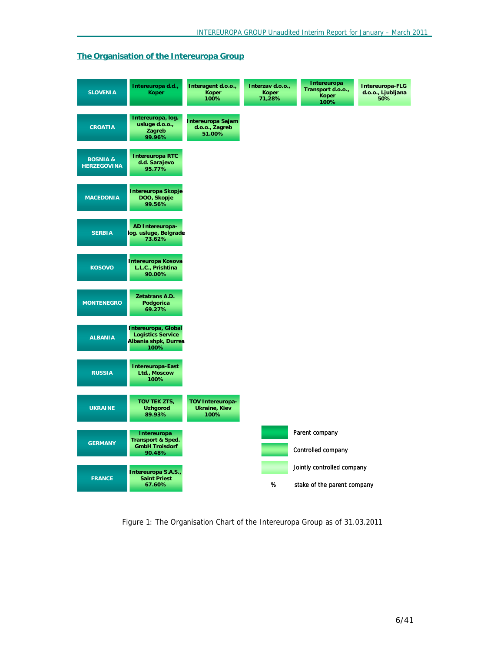## **The Organisation of the Intereuropa Group**



*Figure 1: The Organisation Chart of the Intereuropa Group as of 31.03.2011*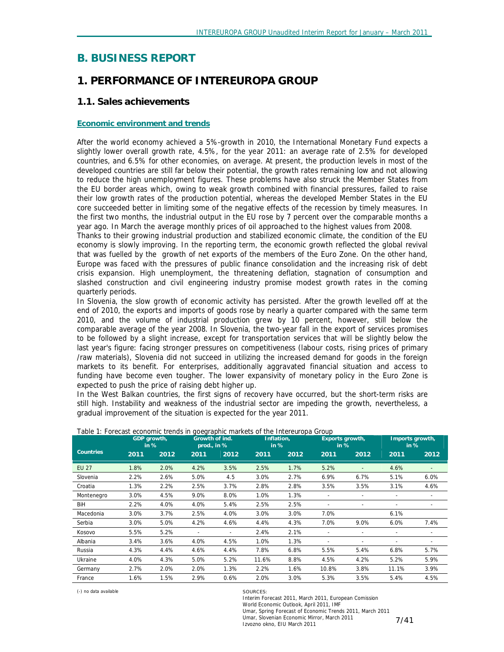# **B. BUSINESS REPORT**

# *1. PERFORMANCE OF INTEREUROPA GROUP*

# **1.1. Sales achievements**

## **Economic environment and trends**

After the world economy achieved a 5%-growth in 2010, the International Monetary Fund expects a slightly lower overall growth rate, 4.5%, for the year 2011: an average rate of 2.5% for developed countries, and 6.5% for other economies, on average. At present, the production levels in most of the developed countries are still far below their potential, the growth rates remaining low and not allowing to reduce the high unemployment figures. These problems have also struck the Member States from the EU border areas which, owing to weak growth combined with financial pressures, failed to raise their low growth rates of the production potential, whereas the developed Member States in the EU core succeeded better in limiting some of the negative effects of the recession by timely measures. In the first two months, the industrial output in the EU rose by 7 percent over the comparable months a year ago. In March the average monthly prices of oil approached to the highest values from 2008.

Thanks to their growing industrial production and stabilized economic climate, the condition of the EU economy is slowly improving. In the reporting term, the economic growth reflected the global revival that was fuelled by the growth of net exports of the members of the Euro Zone. On the other hand, Europe was faced with the pressures of public finance consolidation and the increasing risk of debt crisis expansion. High unemployment, the threatening deflation, stagnation of consumption and slashed construction and civil engineering industry promise modest growth rates in the coming quarterly periods.

In Slovenia, the slow growth of economic activity has persisted. After the growth levelled off at the end of 2010, the exports and imports of goods rose by nearly a quarter compared with the same term 2010, and the volume of industrial production grew by 10 percent, however, still below the comparable average of the year 2008. In Slovenia, the two-year fall in the export of services promises to be followed by a slight increase, except for transportation services that will be slightly below the last year's figure: facing stronger pressures on competitiveness (labour costs, rising prices of primary /raw materials), Slovenia did not succeed in utilizing the increased demand for goods in the foreign markets to its benefit. For enterprises, additionally aggravated financial situation and access to funding have become even tougher. The lower expansivity of monetary policy in the Euro Zone is expected to push the price of raising debt higher up.

In the West Balkan countries, the first signs of recovery have occurred, but the short-term risks are still high. Instability and weakness of the industrial sector are impeding the growth, nevertheless, a gradual improvement of the situation is expected for the year 2011.

|                  |      | GDP growth,<br>in % |      | Growth of ind.<br>prod., in % |       | Inflation.<br>in % |                          | Exports growth,<br>in $%$ | Imports growth,<br>in %  |                              |
|------------------|------|---------------------|------|-------------------------------|-------|--------------------|--------------------------|---------------------------|--------------------------|------------------------------|
| <b>Countries</b> | 2011 | 2012                | 2011 | 2012                          | 2011  | 2012               | 2011                     | 2012                      | 2011                     | 2012                         |
| <b>EU 27</b>     | 1.8% | 2.0%                | 4.2% | 3.5%                          | 2.5%  | 1.7%               | 5.2%                     |                           | 4.6%                     | $\qquad \qquad \blacksquare$ |
| Slovenia         | 2.2% | 2.6%                | 5.0% | 4.5                           | 3.0%  | 2.7%               | 6.9%                     | 6.7%                      | 5.1%                     | 6.0%                         |
| Croatia          | 1.3% | 2.2%                | 2.5% | 3.7%                          | 2.8%  | 2.8%               | 3.5%                     | 3.5%                      | 3.1%                     | 4.6%                         |
| Montenegro       | 3.0% | 4.5%                | 9.0% | 8.0%                          | 1.0%  | 1.3%               |                          |                           |                          |                              |
| BiH              | 2.2% | 4.0%                | 4.0% | 5.4%                          | 2.5%  | 2.5%               |                          | $\overline{\phantom{a}}$  | $\overline{\phantom{0}}$ | $\overline{\phantom{0}}$     |
| Macedonia        | 3.0% | 3.7%                | 2.5% | 4.0%                          | 3.0%  | 3.0%               | 7.0%                     |                           | 6.1%                     |                              |
| Serbia           | 3.0% | 5.0%                | 4.2% | 4.6%                          | 4.4%  | 4.3%               | 7.0%                     | 9.0%                      | 6.0%                     | 7.4%                         |
| Kosovo           | 5.5% | 5.2%                |      |                               | 2.4%  | 2.1%               |                          |                           |                          |                              |
| Albania          | 3.4% | 3.6%                | 4.0% | 4.5%                          | 1.0%  | 1.3%               | $\overline{\phantom{0}}$ | $\overline{\phantom{a}}$  | $\overline{\phantom{a}}$ | $\overline{\phantom{0}}$     |
| Russia           | 4.3% | 4.4%                | 4.6% | 4.4%                          | 7.8%  | 6.8%               | 5.5%                     | 5.4%                      | 6.8%                     | 5.7%                         |
| Ukraine          | 4.0% | 4.3%                | 5.0% | 5.2%                          | 11.6% | 8.8%               | 4.5%                     | 4.2%                      | 5.2%                     | 5.9%                         |
| Germany          | 2.7% | 2.0%                | 2.0% | 1.3%                          | 2.2%  | 1.6%               | 10.8%                    | 3.8%                      | 11.1%                    | 3.9%                         |
| France           | 1.6% | 1.5%                | 2.9% | 0.6%                          | 2.0%  | 3.0%               | 5.3%                     | 3.5%                      | 5.4%                     | 4.5%                         |

*Table 1: Forecast economic trends in goegraphic markets of the Intereuropa Group* 

(-) no data available SOURCES:

Interim Forecast 2011, March 2011, European Comission World Economic Outlook, April 2011, IMF Umar, Spring Forecast of Economic Trends 2011, March 2011 Umar, Slovenian Economic Mirror, March 2011 Izvozno okno, EIU March 2011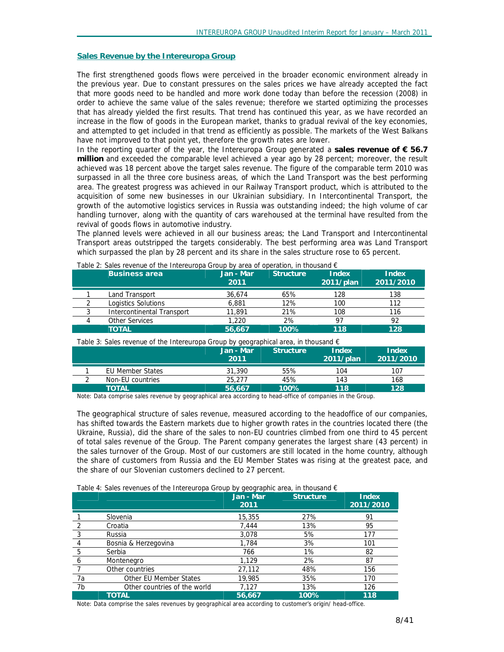#### **Sales Revenue by the Intereuropa Group**

The first strengthened goods flows were perceived in the broader economic environment already in the previous year. Due to constant pressures on the sales prices we have already accepted the fact that more goods need to be handled and more work done today than before the recession (2008) in order to achieve the same value of the sales revenue; therefore we started optimizing the processes that has already yielded the first results. That trend has continued this year, as we have recorded an increase in the flow of goods in the European market, thanks to gradual revival of the key economies, and attempted to get included in that trend as efficiently as possible. The markets of the West Balkans have not improved to that point yet, therefore the growth rates are lower.

In the reporting quarter of the year, the Intereuropa Group generated a **sales revenue of € 56.7 million** and exceeded the comparable level achieved a year ago by 28 percent; moreover, the result achieved was 18 percent above the target sales revenue. The figure of the comparable term 2010 was surpassed in all the three core business areas, of which the Land Transport was the best performing area. The greatest progress was achieved in our Railway Transport product, which is attributed to the acquisition of some new businesses in our Ukrainian subsidiary. In Intercontinental Transport, the growth of the automotive logistics services in Russia was outstanding indeed; the high volume of car handling turnover, along with the quantity of cars warehoused at the terminal have resulted from the revival of goods flows in automotive industry.

The planned levels were achieved in all our business areas; the Land Transport and Intercontinental Transport areas outstripped the targets considerably. The best performing area was Land Transport which surpassed the plan by 28 percent and its share in the sales structure rose to 65 percent.

| <b>Business area</b>       | Jan - Mar<br>2011 | <b>Structure</b> | <b>Index</b><br>$2011$ /plan | <b>Index</b><br>2011/2010 |
|----------------------------|-------------------|------------------|------------------------------|---------------------------|
| Land Transport             | 36,674            | 65%              | 128                          | 138                       |
| Logistics Solutions        | 6,881             | 12%              | 100                          | 112                       |
| Intercontinental Transport | 11,891            | 21%              | 108                          | 116                       |
| <b>Other Services</b>      | 1,220             | 2%               | 97                           | 92                        |
| <b>TOTAL</b>               | 56.667            | 100%             | 118                          | 128                       |

*Table 2: Sales revenue of the Intereuropa Group by area of operation, in thousand*  $\epsilon$ 

| Table 3: Sales revenue of the Intereuropa Group by geographical area, in thousand $\epsilon$ |  |  |
|----------------------------------------------------------------------------------------------|--|--|
|                                                                                              |  |  |

|                  | Jan - Mar<br>2011 | <b>Structure</b> | Index<br>2011/plan | <b>Index</b><br>2011/2010 |
|------------------|-------------------|------------------|--------------------|---------------------------|
| EU Member States | 31.390            | 55%              | 104                | 107                       |
| Non-EU countries | 25,277            | 45%              | 143                | 168                       |
| <b>TOTAL</b>     | 56.667            | 100%             | 118                | 128                       |

Note: Data comprise sales revenue by geographical area according to head-office of companies in the Group.

The geographical structure of sales revenue, measured according to the headoffice of our companies, has shifted towards the Eastern markets due to higher growth rates in the countries located there (the Ukraine, Russia), did the share of the sales to non-EU countries climbed from one third to 45 percent of total sales revenue of the Group. The Parent company generates the largest share (43 percent) in the sales turnover of the Group. Most of our customers are still located in the home country, although the share of customers from Russia and the EU Member States was rising at the greatest pace, and the share of our Slovenian customers declined to 27 percent.

|  | Table 4: Sales revenues of the Intereuropa Group by geographic area, in thousand $\epsilon$ |
|--|---------------------------------------------------------------------------------------------|
|  |                                                                                             |

|    |                              | Jan - Mar<br>2011 | <b>Structure</b> | Index<br>2011/2010 |
|----|------------------------------|-------------------|------------------|--------------------|
|    | Slovenia                     | 15,355            | 27%              | 91                 |
|    | Croatia                      | 7,444             | 13%              | 95                 |
|    | Russia                       | 3,078             | 5%               | 177                |
|    | Bosnia & Herzegovina         | 1,784             | 3%               | 101                |
| 5  | Serbia                       | 766               | 1%               | 82                 |
| 6  | Montenegro                   | 1.129             | 2%               | 87                 |
|    | Other countries              | 27,112            | 48%              | 156                |
| 7a | Other EU Member States       | 19,985            | 35%              | 170                |
| 7b | Other countries of the world | 7,127             | 13%              | 126                |
|    | TOTAL                        | 56.667            | 100%             | 118                |

Note: Data comprise the sales revenues by geographical area according to customer's origin/ head-office.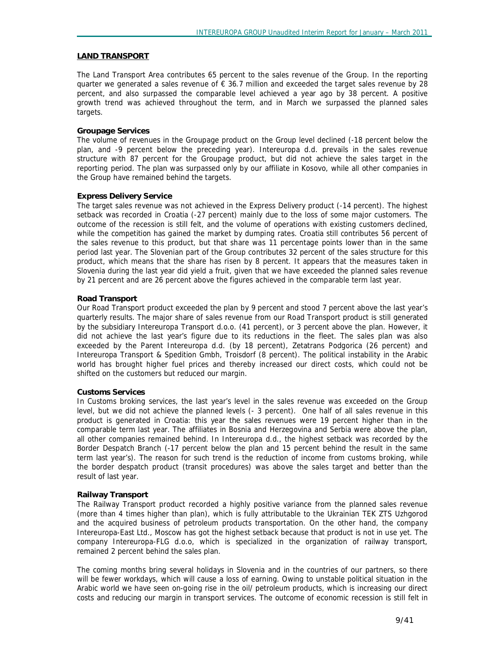#### **LAND TRANSPORT**

The Land Transport Area contributes 65 percent to the sales revenue of the Group. In the reporting quarter we generated a sales revenue of  $\epsilon$  36.7 million and exceeded the target sales revenue by 28 percent, and also surpassed the comparable level achieved a year ago by 38 percent. A positive growth trend was achieved throughout the term, and in March we surpassed the planned sales targets.

#### **Groupage Services**

The volume of revenues in the Groupage product on the Group level declined (-18 percent below the plan, and -9 percent below the preceding year). Intereuropa d.d. prevails in the sales revenue structure with 87 percent for the Groupage product, but did not achieve the sales target in the reporting period. The plan was surpassed only by our affiliate in Kosovo, while all other companies in the Group have remained behind the targets.

#### **Express Delivery Service**

The target sales revenue was not achieved in the Express Delivery product (-14 percent). The highest setback was recorded in Croatia (-27 percent) mainly due to the loss of some major customers. The outcome of the recession is still felt, and the volume of operations with existing customers declined, while the competition has gained the market by dumping rates. Croatia still contributes 56 percent of the sales revenue to this product, but that share was 11 percentage points lower than in the same period last year. The Slovenian part of the Group contributes 32 percent of the sales structure for this product, which means that the share has risen by 8 percent. It appears that the measures taken in Slovenia during the last year did yield a fruit, given that we have exceeded the planned sales revenue by 21 percent and are 26 percent above the figures achieved in the comparable term last year.

#### **Road Transport**

Our Road Transport product exceeded the plan by 9 percent and stood 7 percent above the last year's quarterly results. The major share of sales revenue from our Road Transport product is still generated by the subsidiary Intereuropa Transport d.o.o. (41 percent), or 3 percent above the plan. However, it did not achieve the last year's figure due to its reductions in the fleet. The sales plan was also exceeded by the Parent Intereuropa d.d. (by 18 percent), Zetatrans Podgorica (26 percent) and Intereuropa Transport & Spedition Gmbh, Troisdorf (8 percent). The political instability in the Arabic world has brought higher fuel prices and thereby increased our direct costs, which could not be shifted on the customers but reduced our margin.

#### **Customs Services**

In Customs broking services, the last year's level in the sales revenue was exceeded on the Group level, but we did not achieve the planned levels (- 3 percent). One half of all sales revenue in this product is generated in Croatia: this year the sales revenues were 19 percent higher than in the comparable term last year. The affiliates in Bosnia and Herzegovina and Serbia were above the plan, all other companies remained behind. In Intereuropa d.d., the highest setback was recorded by the Border Despatch Branch (-17 percent below the plan and 15 percent behind the result in the same term last year's). The reason for such trend is the reduction of income from customs broking, while the border despatch product (transit procedures) was above the sales target and better than the result of last year.

#### **Railway Transport**

The Railway Transport product recorded a highly positive variance from the planned sales revenue (more than 4 times higher than plan), which is fully attributable to the Ukrainian TEK ZTS Uzhgorod and the acquired business of petroleum products transportation. On the other hand, the company Intereuropa-East Ltd., Moscow has got the highest setback because that product is not in use yet. The company Intereuropa-FLG d.o.o, which is specialized in the organization of railway transport, remained 2 percent behind the sales plan.

The coming months bring several holidays in Slovenia and in the countries of our partners, so there will be fewer workdays, which will cause a loss of earning. Owing to unstable political situation in the Arabic world we have seen on-going rise in the oil/ petroleum products, which is increasing our direct costs and reducing our margin in transport services. The outcome of economic recession is still felt in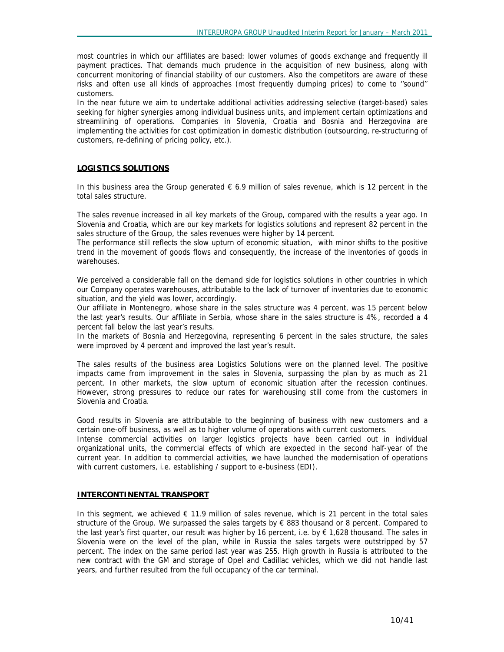most countries in which our affiliates are based: lower volumes of goods exchange and frequently ill payment practices. That demands much prudence in the acquisition of new business, along with concurrent monitoring of financial stability of our customers. Also the competitors are aware of these risks and often use all kinds of approaches (most frequently dumping prices) to come to ''sound'' customers.

In the near future we aim to undertake additional activities addressing selective (target-based) sales seeking for higher synergies among individual business units, and implement certain optimizations and streamlining of operations. Companies in Slovenia, Croatia and Bosnia and Herzegovina are implementing the activities for cost optimization in domestic distribution (outsourcing, re-structuring of customers, re-defining of pricing policy, etc.).

## **LOGISTICS SOLUTIONS**

In this business area the Group generated  $\epsilon$  6.9 million of sales revenue, which is 12 percent in the total sales structure.

The sales revenue increased in all key markets of the Group, compared with the results a year ago. In Slovenia and Croatia, which are our key markets for logistics solutions and represent 82 percent in the sales structure of the Group, the sales revenues were higher by 14 percent.

The performance still reflects the slow upturn of economic situation, with minor shifts to the positive trend in the movement of goods flows and consequently, the increase of the inventories of goods in warehouses.

We perceived a considerable fall on the demand side for logistics solutions in other countries in which our Company operates warehouses, attributable to the lack of turnover of inventories due to economic situation, and the yield was lower, accordingly.

Our affiliate in Montenegro, whose share in the sales structure was 4 percent, was 15 percent below the last year's results. Our affiliate in Serbia, whose share in the sales structure is 4%, recorded a 4 percent fall below the last year's results.

In the markets of Bosnia and Herzegovina, representing 6 percent in the sales structure, the sales were improved by 4 percent and improved the last year's result.

The sales results of the business area Logistics Solutions were on the planned level. The positive impacts came from improvement in the sales in Slovenia, surpassing the plan by as much as 21 percent. In other markets, the slow upturn of economic situation after the recession continues. However, strong pressures to reduce our rates for warehousing still come from the customers in Slovenia and Croatia.

Good results in Slovenia are attributable to the beginning of business with new customers and a certain one-off business, as well as to higher volume of operations with current customers.

Intense commercial activities on larger logistics projects have been carried out in individual organizational units, the commercial effects of which are expected in the second half-year of the current year. In addition to commercial activities, we have launched the modernisation of operations with current customers, i.e. establishing / support to e-business (EDI).

#### **INTERCONTINENTAL TRANSPORT**

In this segment, we achieved  $\epsilon$  11.9 million of sales revenue, which is 21 percent in the total sales structure of the Group. We surpassed the sales targets by  $\epsilon$  883 thousand or 8 percent. Compared to the last year's first quarter, our result was higher by 16 percent, i.e. by € 1,628 thousand. The sales in Slovenia were on the level of the plan, while in Russia the sales targets were outstripped by 57 percent. The index on the same period last year was 255. High growth in Russia is attributed to the new contract with the GM and storage of Opel and Cadillac vehicles, which we did not handle last years, and further resulted from the full occupancy of the car terminal.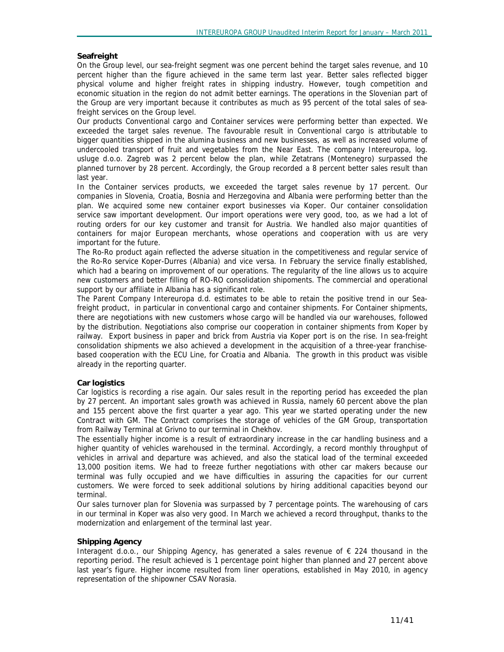#### **Seafreight**

On the Group level, our sea-freight segment was one percent behind the target sales revenue, and 10 percent higher than the figure achieved in the same term last year. Better sales reflected bigger physical volume and higher freight rates in shipping industry. However, tough competition and economic situation in the region do not admit better earnings. The operations in the Slovenian part of the Group are very important because it contributes as much as 95 percent of the total sales of seafreight services on the Group level.

Our products Conventional cargo and Container services were performing better than expected. We exceeded the target sales revenue. The favourable result in Conventional cargo is attributable to bigger quantities shipped in the alumina business and new businesses, as well as increased volume of undercooled transport of fruit and vegetables from the Near East. The company Intereuropa, log. usluge d.o.o. Zagreb was 2 percent below the plan, while Zetatrans (Montenegro) surpassed the planned turnover by 28 percent. Accordingly, the Group recorded a 8 percent better sales result than last year.

In the Container services products, we exceeded the target sales revenue by 17 percent. Our companies in Slovenia, Croatia, Bosnia and Herzegovina and Albania were performing better than the plan. We acquired some new container export businesses via Koper. Our container consolidation service saw important development. Our import operations were very good, too, as we had a lot of routing orders for our key customer and transit for Austria. We handled also major quantities of containers for major European merchants, whose operations and cooperation with us are very important for the future.

The Ro-Ro product again reflected the adverse situation in the competitiveness and regular service of the Ro-Ro service Koper-Durres (Albania) and vice versa. In February the service finally established, which had a bearing on improvement of our operations. The regularity of the line allows us to acquire new customers and better filling of RO-RO consolidation shipoments. The commercial and operational support by our affiliate in Albania has a significant role.

The Parent Company Intereuropa d.d. estimates to be able to retain the positive trend in our Seafreight product, in particular in conventional cargo and container shipments. For Container shipments, there are negotiations with new customers whose cargo will be handled via our warehouses, followed by the distribution. Negotiations also comprise our cooperation in container shipments from Koper by railway. Export business in paper and brick from Austria via Koper port is on the rise. In sea-freight consolidation shipments we also achieved a development in the acquisition of a three-year franchisebased cooperation with the ECU Line, for Croatia and Albania. The growth in this product was visible already in the reporting quarter.

#### **Car logistics**

Car logistics is recording a rise again. Our sales result in the reporting period has exceeded the plan by 27 percent. An important sales growth was achieved in Russia, namely 60 percent above the plan and 155 percent above the first quarter a year ago. This year we started operating under the new Contract with GM. The Contract comprises the storage of vehicles of the GM Group, transportation from Railway Terminal at Grivno to our terminal in Chekhov.

The essentially higher income is a result of extraordinary increase in the car handling business and a higher quantity of vehicles warehoused in the terminal. Accordingly, a record monthly throughput of vehicles in arrival and departure was achieved, and also the statical load of the terminal exceeded 13,000 position items. We had to freeze further negotiations with other car makers because our terminal was fully occupied and we have difficulties in assuring the capacities for our current customers. We were forced to seek additional solutions by hiring additional capacities beyond our terminal.

Our sales turnover plan for Slovenia was surpassed by 7 percentage points. The warehousing of cars in our terminal in Koper was also very good. In March we achieved a record throughput, thanks to the modernization and enlargement of the terminal last year.

#### **Shipping Agency**

Interagent d.o.o., our Shipping Agency, has generated a sales revenue of € 224 thousand in the reporting period. The result achieved is 1 percentage point higher than planned and 27 percent above last year's figure. Higher income resulted from liner operations, established in May 2010, in agency representation of the shipowner CSAV Norasia.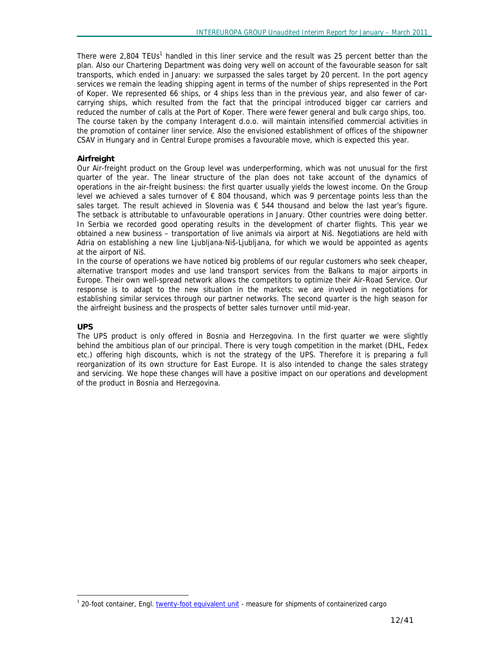There were 2,804 TEUs<sup>1</sup> handled in this liner service and the result was 25 percent better than the plan. Also our Chartering Department was doing very well on account of the favourable season for salt transports, which ended in January: we surpassed the sales target by 20 percent. In the port agency services we remain the leading shipping agent in terms of the number of ships represented in the Port of Koper. We represented 66 ships, or 4 ships less than in the previous year, and also fewer of carcarrying ships, which resulted from the fact that the principal introduced bigger car carriers and reduced the number of calls at the Port of Koper. There were fewer general and bulk cargo ships, too. The course taken by the company Interagent d.o.o. will maintain intensified commercial activities in the promotion of container liner service. Also the envisioned establishment of offices of the shipowner CSAV in Hungary and in Central Europe promises a favourable move, which is expected this year.

## **Airfreight**

Our Air-freight product on the Group level was underperforming, which was not unusual for the first quarter of the year. The linear structure of the plan does not take account of the dynamics of operations in the air-freight business: the first quarter usually yields the lowest income. On the Group level we achieved a sales turnover of  $\epsilon$  804 thousand, which was 9 percentage points less than the sales target. The result achieved in Slovenia was  $\epsilon$  544 thousand and below the last year's figure. The setback is attributable to unfavourable operations in January. Other countries were doing better. In Serbia we recorded good operating results in the development of charter flights. This year we obtained a new business – transportation of live animals via airport at Niš. Negotiations are held with Adria on establishing a new line Ljubljana-Niš-Ljubljana, for which we would be appointed as agents at the airport of Niš.

In the course of operations we have noticed big problems of our regular customers who seek cheaper, alternative transport modes and use land transport services from the Balkans to major airports in Europe. Their own well-spread network allows the competitors to optimize their Air-Road Service. Our response is to adapt to the new situation in the markets: we are involved in negotiations for establishing similar services through our partner networks. The second quarter is the high season for the airfreight business and the prospects of better sales turnover until mid-year.

## **UPS**

-

The UPS product is only offered in Bosnia and Herzegovina. In the first quarter we were slightly behind the ambitious plan of our principal. There is very tough competition in the market (DHL, Fedex etc.) offering high discounts, which is not the strategy of the UPS. Therefore it is preparing a full reorganization of its own structure for East Europe. It is also intended to change the sales strategy and servicing. We hope these changes will have a positive impact on our operations and development of the product in Bosnia and Herzegovina.

<sup>&</sup>lt;sup>1</sup> 20-foot container, Engl. twenty-foot equivalent unit - measure for shipments of containerized cargo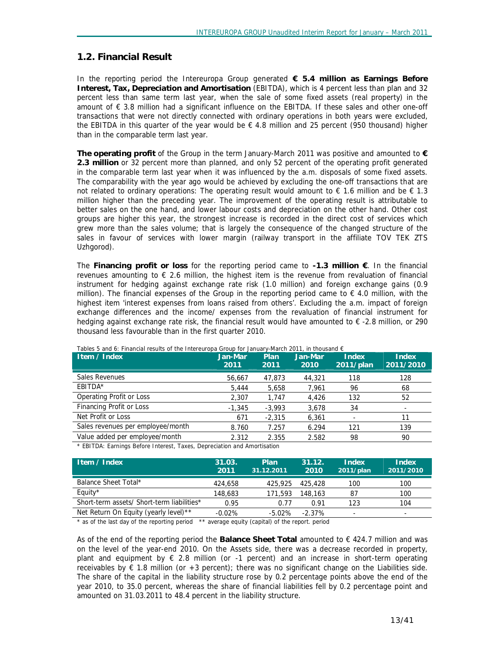# **1.2. Financial Result**

In the reporting period the Intereuropa Group generated **€ 5.4 million as Earnings Before Interest, Tax, Depreciation and Amortisation** (EBITDA), which is 4 percent less than plan and 32 percent less than same term last year, when the sale of some fixed assets (real property) in the amount of € 3.8 million had a significant influence on the EBITDA. If these sales and other one-off transactions that were not directly connected with ordinary operations in both years were excluded, the EBITDA in this quarter of the year would be  $\epsilon$  4.8 million and 25 percent (950 thousand) higher than in the comparable term last year.

**The operating profit** of the Group in the term January-March 2011 was positive and amounted to **€ 2.3 million** or 32 percent more than planned, and only 52 percent of the operating profit generated in the comparable term last year when it was influenced by the a.m. disposals of some fixed assets. The comparability with the year ago would be achieved by excluding the one-off transactions that are not related to ordinary operations: The operating result would amount to  $\epsilon$  1.6 million and be  $\epsilon$  1.3 million higher than the preceding year. The improvement of the operating result is attributable to better sales on the one hand, and lower labour costs and depreciation on the other hand. Other cost groups are higher this year, the strongest increase is recorded in the direct cost of services which grew more than the sales volume; that is largely the consequence of the changed structure of the sales in favour of services with lower margin (railway transport in the affiliate TOV TEK ZTS Uzhgorod).

The **Financing profit or loss** for the reporting period came to **-1.3 million €**. In the financial revenues amounting to  $\epsilon$  2.6 million, the highest item is the revenue from revaluation of financial instrument for hedging against exchange rate risk (1.0 million) and foreign exchange gains (0.9 million). The financial expenses of the Group in the reporting period came to  $\epsilon$  4.0 million, with the highest item 'interest expenses from loans raised from others'. Excluding the a.m. impact of foreign exchange differences and the income/ expenses from the revaluation of financial instrument for hedging against exchange rate risk, the financial result would have amounted to € -2.8 million, or 290 thousand less favourable than in the first quarter 2010.

| Item / Index                      | Jan-Mar<br>2011 | <b>Plan</b><br>2011 | Jan-Mar<br>2010 | <b>Index</b><br>2011/plan | <b>Index</b><br>2011/2010 |
|-----------------------------------|-----------------|---------------------|-----------------|---------------------------|---------------------------|
| <b>Sales Revenues</b>             | 56,667          | 47,873              | 44,321          | 118                       | 128                       |
| EBITDA*                           | 5.444           | 5,658               | 7,961           | 96                        | 68                        |
| <b>Operating Profit or Loss</b>   | 2,307           | 1,747               | 4,426           | 132                       | 52                        |
| Financing Profit or Loss          | $-1,345$        | $-3,993$            | 3,678           | 34                        | $\overline{\phantom{a}}$  |
| Net Profit or Loss                | 671             | $-2.315$            | 6,361           |                           | 11                        |
| Sales revenues per employee/month | 8.760           | 7.257               | 6.294           | 121                       | 139                       |
| Value added per employee/month    | 2.312           | 2.355               | 2.582           | 98                        | 90                        |
| .                                 |                 |                     |                 |                           |                           |

*Tables 5 and 6: Financial results of the Intereuropa Group for January-March 2011, in thousand €* 

*\* EBITDA: Earnings Before Interest, Taxes, Depreciation and Amortisation* 

| Item / Index                               | 31.03.<br>2011 | <b>Plan</b><br>31.12.2011 | 31.12.<br>2010 | Index<br>2011/plan       | Index<br>2011/2010 |
|--------------------------------------------|----------------|---------------------------|----------------|--------------------------|--------------------|
| Balance Sheet Total*                       | 424,658        | 425,925                   | 425,428        | 100                      | 100                |
| Equity*                                    | 148,683        | 171.593                   | 148,163        | 87                       | 100                |
| Short-term assets/ Short-term liabilities* | 0.95           | 0.77                      | 0.91           | 123                      | 104                |
| Net Return On Equity (yearly level)**      | $-0.02%$       | $-5.02%$                  | $-2.37\%$      | $\overline{\phantom{0}}$ | -                  |

*\* as of the last day of the reporting period \*\* average equity (capital) of the report. period* 

As of the end of the reporting period the **Balance Sheet Total** amounted to € 424.7 million and was on the level of the year-end 2010. On the Assets side, there was a decrease recorded in property, plant and equipment by  $\epsilon$  2.8 million (or -1 percent) and an increase in short-term operating receivables by  $\epsilon$  1.8 million (or +3 percent); there was no significant change on the Liabilities side. The share of the capital in the liability structure rose by 0.2 percentage points above the end of the year 2010, to 35.0 percent, whereas the share of financial liabilities fell by 0.2 percentage point and amounted on 31.03.2011 to 48.4 percent in the liability structure.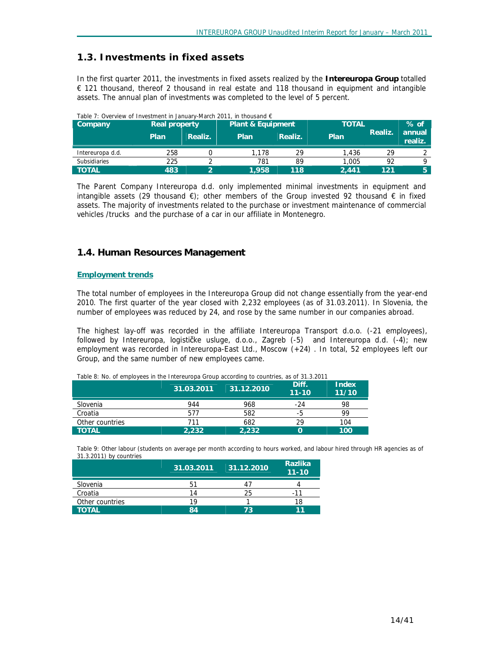# **1.3. Investments in fixed assets**

In the first quarter 2011, the investments in fixed assets realized by the **Intereuropa Group** totalled € 121 thousand, thereof 2 thousand in real estate and 118 thousand in equipment and intangible assets. The annual plan of investments was completed to the level of 5 percent.

| Table 7: Overview of Investment in January-March 2011, in thousand $\epsilon$ |               |         |                              |         |              |         |                   |        |
|-------------------------------------------------------------------------------|---------------|---------|------------------------------|---------|--------------|---------|-------------------|--------|
| <b>Company</b>                                                                | Real property |         | <b>Plant &amp; Equipment</b> |         | <b>TOTAL</b> |         |                   | $%$ of |
|                                                                               | Plan          | Realiz. | Plan                         | Realiz. | Plan         | Realiz. | annual<br>realiz. |        |
| Intereuropa d.d.                                                              | 258           |         | 1.178                        | 29      | 1.436        | 29      |                   |        |
| <b>Subsidiaries</b>                                                           | 225           |         | 781                          | 89      | 1,005        | 92      |                   |        |
| <b>TOTAL</b>                                                                  | 483           | ∽       | 1.958                        | 118     | 2.441        | 121     | 5.                |        |

The Parent Company Intereuropa d.d. only implemented minimal investments in equipment and intangible assets (29 thousand  $\epsilon$ ); other members of the Group invested 92 thousand  $\epsilon$  in fixed assets. The majority of investments related to the purchase or investment maintenance of commercial vehicles /trucks and the purchase of a car in our affiliate in Montenegro.

# **1.4. Human Resources Management**

#### **Employment trends**

The total number of employees in the Intereuropa Group did not change essentially from the year-end 2010. The first quarter of the year closed with 2,232 employees (as of 31.03.2011). In Slovenia, the number of employees was reduced by 24, and rose by the same number in our companies abroad.

The highest lay-off was recorded in the affiliate Intereuropa Transport d.o.o. (-21 employees), followed by Intereuropa, logističke usluge, d.o.o., Zagreb (-5) and Intereuropa d.d. (-4); new employment was recorded in Intereuropa-East Ltd., Moscow (+24) . In total, 52 employees left our Group, and the same number of new employees came.

|                 | 31.03.2011 | 31.12.2010 | Diff.<br>$11 - 10$ | <b>Index</b><br>11/10 |
|-----------------|------------|------------|--------------------|-----------------------|
| Slovenia        | 944        | 968        | $-24$              | 98                    |
| Croatia         | 577        | 582        | -5                 | 99                    |
| Other countries | 711        | 682        | 29                 | 104                   |
| <b>TOTAL</b>    | 2.232      | 2.232      | O                  | 100                   |

*Table 8: No. of employees in the Intereuropa Group according to countries, as of 31.3.2011* 

Table 9: Other labour (students on average per month according to hours worked, and labour hired through HR agencies as of *31.3.2011) by countries* 

|                 | 31.03.2011 | 31.12.2010 | <b>Razlika</b><br>$11 - 10$ |
|-----------------|------------|------------|-----------------------------|
| Slovenia        | 51         |            |                             |
| Croatia         | 14         | 25         | -11                         |
| Other countries | 19         |            | 18                          |
| <b>TOTAL</b>    | 84         | 73         | 11                          |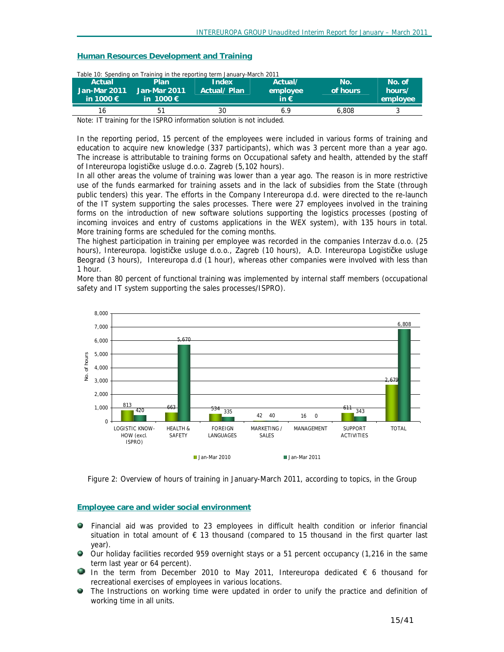#### **Human Resources Development and Training**

| Actual<br>Jan-Mar 2011<br>in 1000 $\epsilon$ | Plan.<br>Jan-Mar 2011<br>in 1000 $\epsilon$ | Table 10: Spending on Training in the reporting term January-March 2011<br>Index<br>Actual/Plan | Actual/<br>employee<br>in $\epsilon$ | No.<br>of hours | No. of<br>hours/<br>employee |
|----------------------------------------------|---------------------------------------------|-------------------------------------------------------------------------------------------------|--------------------------------------|-----------------|------------------------------|
| 16                                           | 51                                          | 30                                                                                              | 6.9                                  | 6.808           |                              |

*Table 10: Spending on Training in the reporting term January-March 2011* 

Note: IT training for the ISPRO information solution is not included.

In the reporting period, 15 percent of the employees were included in various forms of training and education to acquire new knowledge (337 participants), which was 3 percent more than a year ago. The increase is attributable to training forms on Occupational safety and health, attended by the staff of Intereuropa logističke usluge d.o.o. Zagreb (5,102 hours).

In all other areas the volume of training was lower than a year ago. The reason is in more restrictive use of the funds earmarked for training assets and in the lack of subsidies from the State (through public tenders) this year. The efforts in the Company Intereuropa d.d. were directed to the re-launch of the IT system supporting the sales processes. There were 27 employees involved in the training forms on the introduction of new software solutions supporting the logistics processes (posting of incoming invoices and entry of customs applications in the WEX system), with 135 hours in total. More training forms are scheduled for the coming months.

The highest participation in training per employee was recorded in the companies Interzav d.o.o. (25 hours), Intereuropa. logističke usluge d.o.o., Zagreb (10 hours), A.D. Intereuropa Logističke usluge Beograd (3 hours), Intereuropa d.d (1 hour), whereas other companies were involved with less than 1 hour.

More than 80 percent of functional training was implemented by internal staff members (occupational safety and IT system supporting the sales processes/ISPRO).



*Figure 2: Overview of hours of training in January-March 2011, according to topics, in the Group*

## **Employee care and wider social environment**

- Financial aid was provided to 23 employees in difficult health condition or inferior financial situation in total amount of € 13 thousand (compared to 15 thousand in the first quarter last year).
- Our holiday facilities recorded 959 overnight stays or a 51 percent occupancy (1,216 in the same term last year or 64 percent).
- In the term from December 2010 to May 2011, Intereuropa dedicated  $\epsilon$  6 thousand for recreational exercises of employees in various locations.
- $\triangleq$  The Instructions on working time were updated in order to unify the practice and definition of working time in all units.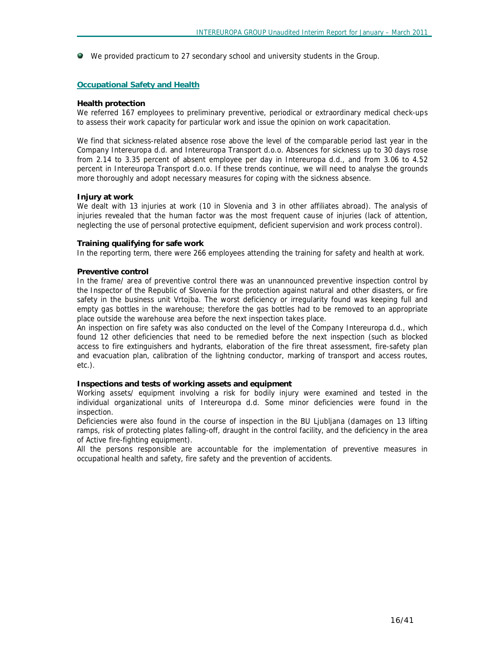We provided practicum to 27 secondary school and university students in the Group.

#### **Occupational Safety and Health**

#### **Health protection**

We referred 167 employees to preliminary preventive, periodical or extraordinary medical check-ups to assess their work capacity for particular work and issue the opinion on work capacitation.

We find that sickness-related absence rose above the level of the comparable period last year in the Company Intereuropa d.d. and Intereuropa Transport d.o.o. Absences for sickness up to 30 days rose from 2.14 to 3.35 percent of absent employee per day in Intereuropa d.d., and from 3.06 to 4.52 percent in Intereuropa Transport d.o.o. If these trends continue, we will need to analyse the grounds more thoroughly and adopt necessary measures for coping with the sickness absence.

#### **Injury at work**

We dealt with 13 injuries at work (10 in Slovenia and 3 in other affiliates abroad). The analysis of injuries revealed that the human factor was the most frequent cause of injuries (lack of attention, neglecting the use of personal protective equipment, deficient supervision and work process control).

#### **Training qualifying for safe work**

In the reporting term, there were 266 employees attending the training for safety and health at work.

#### **Preventive control**

In the frame/ area of preventive control there was an unannounced preventive inspection control by the Inspector of the Republic of Slovenia for the protection against natural and other disasters, or fire safety in the business unit Vrtojba. The worst deficiency or irregularity found was keeping full and empty gas bottles in the warehouse; therefore the gas bottles had to be removed to an appropriate place outside the warehouse area before the next inspection takes place.

An inspection on fire safety was also conducted on the level of the Company Intereuropa d.d., which found 12 other deficiencies that need to be remedied before the next inspection (such as blocked access to fire extinguishers and hydrants, elaboration of the fire threat assessment, fire-safety plan and evacuation plan, calibration of the lightning conductor, marking of transport and access routes, etc.).

#### **Inspections and tests of working assets and equipment**

Working assets/ equipment involving a risk for bodily injury were examined and tested in the individual organizational units of Intereuropa d.d. Some minor deficiencies were found in the inspection.

Deficiencies were also found in the course of inspection in the BU Ljubljana (damages on 13 lifting ramps, risk of protecting plates falling-off, draught in the control facility, and the deficiency in the area of Active fire-fighting equipment).

All the persons responsible are accountable for the implementation of preventive measures in occupational health and safety, fire safety and the prevention of accidents.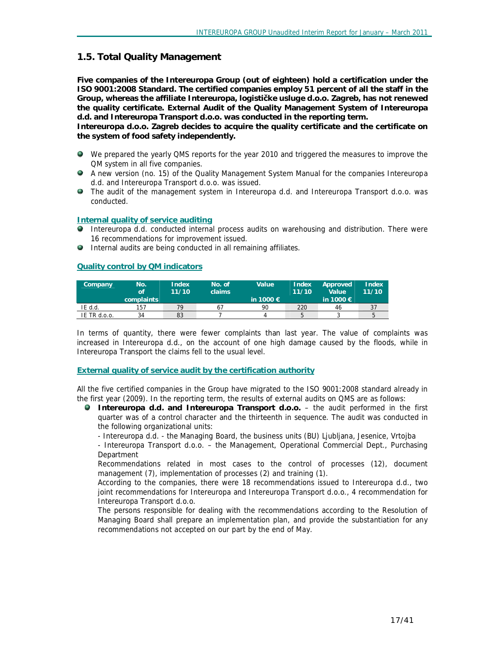# **1.5. Total Quality Management**

**Five companies of the Intereuropa Group (out of eighteen) hold a certification under the ISO 9001:2008 Standard. The certified companies employ 51 percent of all the staff in the Group, whereas the affiliate Intereuropa, logističke usluge d.o.o. Zagreb, has not renewed the quality certificate. External Audit of the Quality Management System of Intereuropa d.d. and Intereuropa Transport d.o.o. was conducted in the reporting term.**

**Intereuropa d.o.o. Zagreb decides to acquire the quality certificate and the certificate on the system of food safety independently.** 

- We prepared the yearly QMS reports for the year 2010 and triggered the measures to improve the QM system in all five companies.
- A new version (no. 15) of the Quality Management System Manual for the companies Intereuropa d.d. and Intereuropa Transport d.o.o. was issued.
- The audit of the management system in Intereuropa d.d. and Intereuropa Transport d.o.o. was conducted.

#### **Internal quality of service auditing**

- **Intereuropa d.d. conducted internal process audits on warehousing and distribution. There were** 16 recommendations for improvement issued.
- Internal audits are being conducted in all remaining affiliates.

#### **Quality control by QM indicators**

| Company      | No.<br><b>of</b><br>complaints | Index<br>11/10 | No. of<br>claims | Value<br>in 1000 $\epsilon$ | Index<br>11/10 | Approved<br>Value<br>in 1000 $\in$ | Index<br>11/10 |
|--------------|--------------------------------|----------------|------------------|-----------------------------|----------------|------------------------------------|----------------|
| IE d.d.      | 157                            | 79             | 67               | 90                          | 220            | 46                                 |                |
| IE TR d.o.o. | 34                             | 83             |                  |                             |                |                                    |                |

In terms of quantity, there were fewer complaints than last year. The value of complaints was increased in Intereuropa d.d., on the account of one high damage caused by the floods, while in Intereuropa Transport the claims fell to the usual level.

#### **External quality of service audit by the certification authority**

All the five certified companies in the Group have migrated to the ISO 9001:2008 standard already in the first year (2009). In the reporting term, the results of external audits on QMS are as follows:

- **Intereuropa d.d. and Intereuropa Transport d.o.o.**  the audit performed in the first quarter was of a control character and the thirteenth in sequence. The audit was conducted in the following organizational units:
	- Intereuropa d.d. the Managing Board, the business units (BU) Ljubljana, Jesenice, Vrtojba

- Intereuropa Transport d.o.o. – the Management, Operational Commercial Dept., Purchasing **Department** 

Recommendations related in most cases to the control of processes (12), document management (7), implementation of processes (2) and training (1).

According to the companies, there were 18 recommendations issued to Intereuropa d.d., two joint recommendations for Intereuropa and Intereuropa Transport d.o.o., 4 recommendation for Intereuropa Transport d.o.o.

The persons responsible for dealing with the recommendations according to the Resolution of Managing Board shall prepare an implementation plan, and provide the substantiation for any recommendations not accepted on our part by the end of May.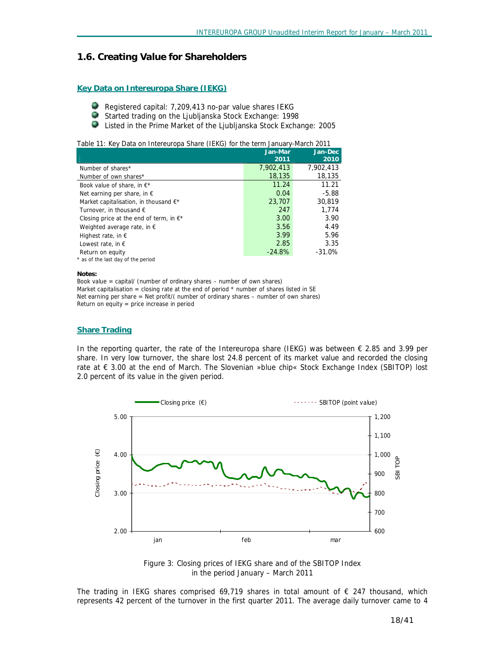## **1.6. Creating Value for Shareholders**

#### **Key Data on Intereuropa Share (IEKG)**

- Registered capital: 7,209,413 no-par value shares IEKG
- ۸ Started trading on the Ljubljanska Stock Exchange: 1998
- ۳ Listed in the Prime Market of the Ljubljanska Stock Exchange: 2005

*Table 11: Key Data on Intereuropa Share (IEKG) for the term January-March 2011* 

|                                                 | Jan-Mar   | Jan-Dec   |
|-------------------------------------------------|-----------|-----------|
|                                                 | 2011      | 2010      |
| Number of shares*                               | 7,902,413 | 7,902,413 |
| Number of own shares*                           | 18,135    | 18,135    |
| Book value of share, in $E^*$                   | 11.24     | 11.21     |
| Net earning per share, in $\epsilon$            | 0.04      | $-5.88$   |
| Market capitalisation, in thousand $\epsilon^*$ | 23,707    | 30,819    |
| Turnover, in thousand $\epsilon$                | 247       | 1.774     |
| Closing price at the end of term, in $E^*$      | 3.00      | 3.90      |
| Weighted average rate, in $\epsilon$            | 3.56      | 4.49      |
| Highest rate, in $\epsilon$                     | 3.99      | 5.96      |
| Lowest rate, in $\epsilon$                      | 2.85      | 3.35      |
| Return on equity                                | $-24.8%$  | $-31.0%$  |
| * as of the last day of the period              |           |           |

#### **Notes:**

*Book value = capital/ (number of ordinary shares – number of own shares) Market capitalisation = closing rate at the end of period \* number of shares listed in SE Net earning per share = Net profit/( number of ordinary shares – number of own shares) Return on equity = price increase in period* 

#### **Share Trading**

In the reporting quarter, the rate of the Intereuropa share (IEKG) was between  $\epsilon$  2.85 and 3.99 per share. In very low turnover, the share lost 24.8 percent of its market value and recorded the closing rate at € 3.00 at the end of March. The Slovenian »blue chip« Stock Exchange Index (SBITOP) lost 2.0 percent of its value in the given period.



*Figure 3: Closing prices of IEKG share and of the SBITOP Index in the period January – March 2011* 

The trading in IEKG shares comprised 69,719 shares in total amount of  $\epsilon$  247 thousand, which represents 42 percent of the turnover in the first quarter 2011. The average daily turnover came to 4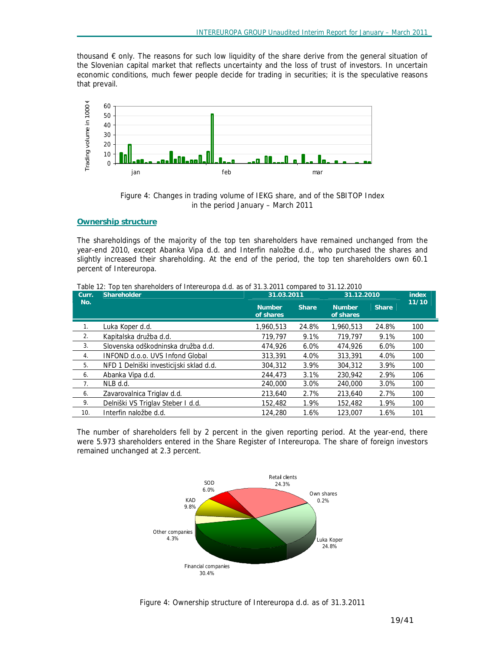thousand € only. The reasons for such low liquidity of the share derive from the general situation of the Slovenian capital market that reflects uncertainty and the loss of trust of investors. In uncertain economic conditions, much fewer people decide for trading in securities; it is the speculative reasons that prevail.



*Figure 4*: *Changes in trading volume of IEKG share, and of the SBITOP Index in the period January – March 2011* 

#### **Ownership structure**

The shareholdings of the majority of the top ten shareholders have remained unchanged from the year-end 2010, except Abanka Vipa d.d. and Interfin naložbe d.d., who purchased the shares and slightly increased their shareholding. At the end of the period, the top ten shareholders own 60.1 percent of Intereuropa.

| Shareholder<br>Curr. |                                         | 31.03.2011                 |              | 31.12.2010                 | index        |       |
|----------------------|-----------------------------------------|----------------------------|--------------|----------------------------|--------------|-------|
| No.                  |                                         | <b>Number</b><br>of shares | <b>Share</b> | <b>Number</b><br>of shares | <b>Share</b> | 11/10 |
| 1.                   | Luka Koper d.d.                         | 1,960,513                  | 24.8%        | 1.960.513                  | 24.8%        | 100   |
| 2.                   | Kapitalska družba d.d.                  | 719,797                    | 9.1%         | 719.797                    | 9.1%         | 100   |
| 3.                   | Slovenska odškodninska družba d.d.      | 474,926                    | $6.0\%$      | 474,926                    | 6.0%         | 100   |
| 4.                   | INFOND d.o.o. UVS Infond Global         | 313,391                    | 4.0%         | 313,391                    | 4.0%         | 100   |
| 5.                   | NFD 1 Delniški investicijski sklad d.d. | 304,312                    | 3.9%         | 304,312                    | 3.9%         | 100   |
| 6.                   | Abanka Vipa d.d.                        | 244,473                    | 3.1%         | 230,942                    | 2.9%         | 106   |
| 7.                   | NLB d.d.                                | 240,000                    | 3.0%         | 240,000                    | 3.0%         | 100   |
| 6.                   | Zavarovalnica Triglay d.d.              | 213,640                    | 2.7%         | 213,640                    | 2.7%         | 100   |
| 9.                   | Delniški VS Triglav Steber I d.d.       | 152,482                    | 1.9%         | 152,482                    | 1.9%         | 100   |
| 10.                  | Interfin naložbe d.d.                   | 124,280                    | 1.6%         | 123,007                    | 1.6%         | 101   |

*Table 12: Top ten shareholders of Intereuropa d.d. as of 31.3.2011 compared to 31.12.2010* 

The number of shareholders fell by 2 percent in the given reporting period. At the year-end, there were 5.973 shareholders entered in the Share Register of Intereuropa. The share of foreign investors remained unchanged at 2.3 percent.



*Figure 4: Ownership structure of Intereuropa d.d. as of 31.3.2011*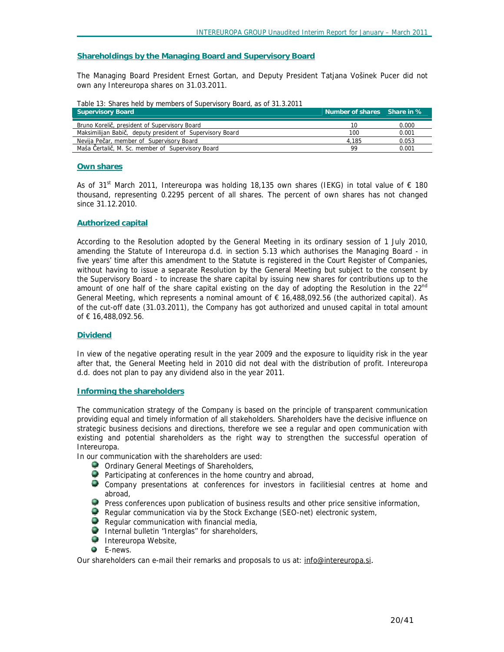#### **Shareholdings by the Managing Board and Supervisory Board**

The Managing Board President Ernest Gortan, and Deputy President Tatjana Vošinek Pucer did not own any Intereuropa shares on 31.03.2011.

| Table 13: Shares held by members of Supervisory Board, as of 31.3.2011 |
|------------------------------------------------------------------------|
|------------------------------------------------------------------------|

| <b>Supervisory Board</b>                                  | Number of shares Share in % |       |
|-----------------------------------------------------------|-----------------------------|-------|
| Bruno Korelič, president of Supervisory Board             | 10                          | 0.000 |
| Maksimilijan Babič, deputy president of Supervisory Board | 100                         | 0.001 |
| Nevija Pečar, member of Supervisory Board                 | 4.185                       | 0.053 |
| Maša Čertalič, M. Sc. member of Supervisory Board         | 99                          | 0.001 |

#### **Own shares**

As of 31<sup>st</sup> March 2011, Intereuropa was holding 18,135 own shares (IEKG) in total value of € 180 thousand, representing 0.2295 percent of all shares. The percent of own shares has not changed since 31.12.2010.

#### **Authorized capital**

According to the Resolution adopted by the General Meeting in its ordinary session of 1 July 2010, amending the Statute of Intereuropa d.d. in section 5.13 which authorises the Managing Board - in five years' time after this amendment to the Statute is registered in the Court Register of Companies, without having to issue a separate Resolution by the General Meeting but subject to the consent by the Supervisory Board - to increase the share capital by issuing new shares for contributions up to the amount of one half of the share capital existing on the day of adopting the Resolution in the  $22<sup>nd</sup>$ General Meeting, which represents a nominal amount of  $\epsilon$  16,488,092.56 (the authorized capital). As of the cut-off date (31.03.2011), the Company has got authorized and unused capital in total amount of € 16,488,092.56.

#### **Dividend**

In view of the negative operating result in the year 2009 and the exposure to liquidity risk in the year after that, the General Meeting held in 2010 did not deal with the distribution of profit. Intereuropa d.d. does not plan to pay any dividend also in the year 2011.

#### **Informing the shareholders**

The communication strategy of the Company is based on the principle of transparent communication providing equal and timely information of all stakeholders. Shareholders have the decisive influence on strategic business decisions and directions, therefore we see a regular and open communication with existing and potential shareholders as the right way to strengthen the successful operation of Intereuropa.

In our communication with the shareholders are used:

- **O** Ordinary General Meetings of Shareholders,
- **Participating at conferences in the home country and abroad,**
- Company presentations at conferences for investors in facilitiesial centres at home and abroad,
- **P** Press conferences upon publication of business results and other price sensitive information,
- Regular communication via by the Stock Exchange (SEO-net) electronic system,
- Regular communication with financial media,
- Internal bulletin "Interglas" for shareholders,
- **Intereuropa Website,**
- **C** E-news.

Our shareholders can e-mail their remarks and proposals to us at: [info@intereuropa.si](mailto:info@intereuropa.si).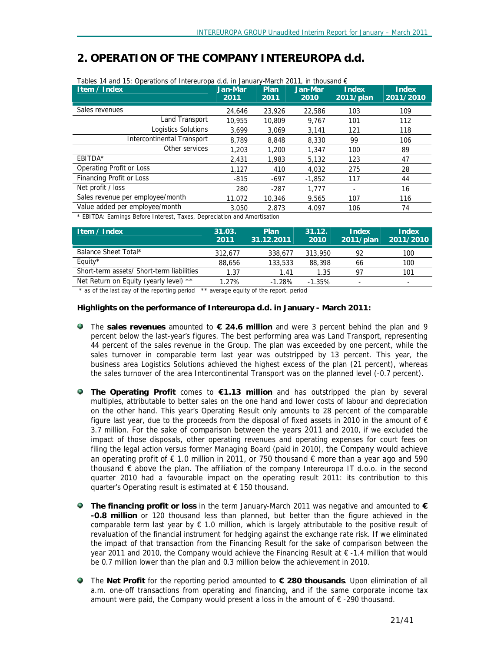# *2. OPERATION OF THE COMPANY INTEREUROPA d.d.*

| Item / Index                     | Jan-Mar | Plan   | Jan-Mar  | <b>Index</b> | <b>Index</b> |
|----------------------------------|---------|--------|----------|--------------|--------------|
|                                  | 2011    | 2011   | 2010     | 2011/plan    | 2011/2010    |
| Sales revenues                   | 24,646  | 23,926 | 22,586   | 103          | 109          |
| Land Transport                   | 10.955  | 10,809 | 9,767    | 101          | 112          |
| Logistics Solutions              | 3.699   | 3.069  | 3.141    | 121          | 118          |
| Intercontinental Transport       | 8.789   | 8,848  | 8,330    | 99           | 106          |
| Other services                   | 1,203   | 1,200  | 1,347    | 100          | 89           |
| EBITDA*                          | 2.431   | 1,983  | 5,132    | 123          | 47           |
| Operating Profit or Loss         | 1,127   | 410    | 4,032    | 275          | 28           |
| Financing Profit or Loss         | $-815$  | -697   | $-1,852$ | 117          | 44           |
| Net profit / loss                | 280     | $-287$ | 1.777    |              | 16           |
| Sales revenue per employee/month | 11.072  | 10.346 | 9.565    | 107          | 116          |
| Value added per employee/month   | 3.050   | 2.873  | 4.097    | 106          | 74           |

*\* EBITDA: Earnings Before Interest, Taxes, Depreciation and Amortisation* 

| Item / Index                              | 31.03.<br>2011' | Plan<br>31.12.2011 | 31.12.<br>2010 | Index<br>2011/plan | Index<br>2011/2010 |
|-------------------------------------------|-----------------|--------------------|----------------|--------------------|--------------------|
| Balance Sheet Total*                      | 312.677         | 338.677            | 313,950        | 92                 | 100                |
| Equity*                                   | 88,656          | 133,533            | 88,398         | 66                 | 100                |
| Short-term assets/ Short-term liabilities | 1.37            | 1.41               | 1.35           | 97                 | 101                |
| Net Return on Equity (yearly level) **    | 1.27%           | $-1.28%$           | $-1.35\%$      | ۰                  | -                  |

*\* as of the last day of the reporting period \*\* average equity of the report. period* 

## **Highlights on the performance of Intereuropa d.d. in January - March 2011:**

- The **sales revenues** amounted to **€ 24.6 million** and were 3 percent behind the plan and 9 percent below the last-year's figures. The best performing area was Land Transport, representing 44 percent of the sales revenue in the Group. The plan was exceeded by one percent, while the sales turnover in comparable term last year was outstripped by 13 percent. This year, the business area Logistics Solutions achieved the highest excess of the plan (21 percent), whereas the sales turnover of the area Intercontinental Transport was on the planned level (-0.7 percent).
- **The Operating Profit** comes to **€1.13 million** and has outstripped the plan by several multiples, attributable to better sales on the one hand and lower costs of labour and depreciation on the other hand. This year's Operating Result only amounts to 28 percent of the comparable figure last year, due to the proceeds from the disposal of fixed assets in 2010 in the amount of  $\epsilon$ 3.7 million. For the sake of comparison between the years 2011 and 2010, if we excluded the impact of those disposals, other operating revenues and operating expenses for court fees on filing the legal action versus former Managing Board (paid in 2010), the Company would achieve an operating profit of  $\epsilon$  1.0 million in 2011, or 750 thousand  $\epsilon$  more than a year ago and 590 thousand € above the plan. The affiliation of the company Intereuropa IT d.o.o. in the second quarter 2010 had a favourable impact on the operating result 2011: its contribution to this quarter's Operating result is estimated at € 150 thousand.
- **The financing profit or loss** in the term January-March 2011 was negative and amounted to **€ -0.8 million** or 120 thousand less than planned, but better than the figure achieved in the comparable term last year by  $\epsilon$  1.0 million, which is largely attributable to the positive result of revaluation of the financial instrument for hedging against the exchange rate risk. If we eliminated the impact of that transaction from the Financing Result for the sake of comparison between the year 2011 and 2010, the Company would achieve the Financing Result at € -1.4 million that would be 0.7 million lower than the plan and 0.3 million below the achievement in 2010.
- The **Net Profit** for the reporting period amounted to **€ 280 thousands**. Upon elimination of all a.m. one-off transactions from operating and financing, and if the same corporate income tax amount were paid, the Company would present a loss in the amount of € -290 thousand.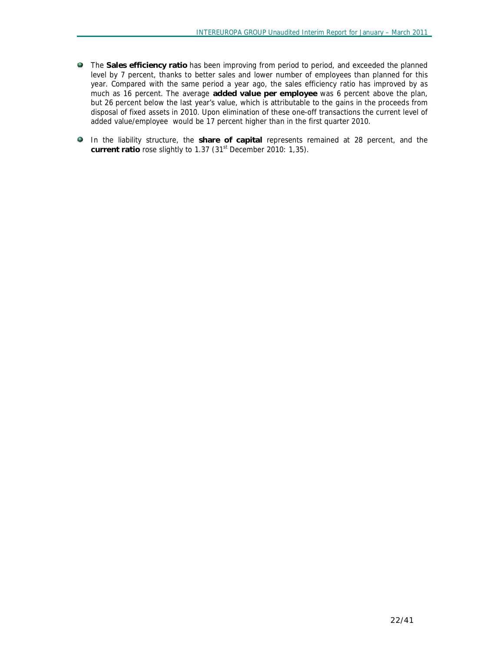- The **Sales efficiency ratio** has been improving from period to period, and exceeded the planned level by 7 percent, thanks to better sales and lower number of employees than planned for this year. Compared with the same period a year ago, the sales efficiency ratio has improved by as much as 16 percent. The average **added value per employee** was 6 percent above the plan, but 26 percent below the last year's value, which is attributable to the gains in the proceeds from disposal of fixed assets in 2010. Upon elimination of these one-off transactions the current level of added value/employee would be 17 percent higher than in the first quarter 2010.
- In the liability structure, the **share of capital** represents remained at 28 percent, and the **current ratio** rose slightly to 1.37 (31st December 2010: 1,35).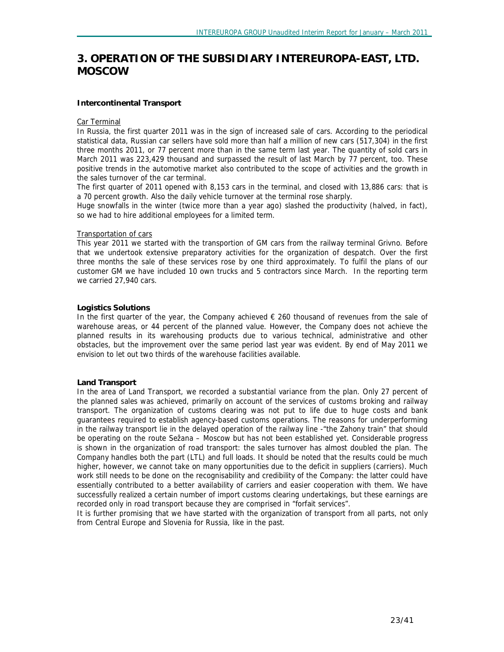# *3. OPERATION OF THE SUBSIDIARY INTEREUROPA-EAST, LTD. MOSCOW*

#### **Intercontinental Transport**

#### Car Terminal

In Russia, the first quarter 2011 was in the sign of increased sale of cars. According to the periodical statistical data, Russian car sellers have sold more than half a million of new cars (517,304) in the first three months 2011, or 77 percent more than in the same term last year. The quantity of sold cars in March 2011 was 223,429 thousand and surpassed the result of last March by 77 percent, too. These positive trends in the automotive market also contributed to the scope of activities and the growth in the sales turnover of the car terminal.

The first quarter of 2011 opened with 8,153 cars in the terminal, and closed with 13,886 cars: that is a 70 percent growth. Also the daily vehicle turnover at the terminal rose sharply.

Huge snowfalls in the winter (twice more than a year ago) slashed the productivity (halved, in fact), so we had to hire additional employees for a limited term.

#### Transportation of cars

This year 2011 we started with the transportion of GM cars from the railway terminal Grivno. Before that we undertook extensive preparatory activities for the organization of despatch. Over the first three months the sale of these services rose by one third approximately. To fulfil the plans of our customer GM we have included 10 own trucks and 5 contractors since March. In the reporting term we carried 27,940 cars.

#### **Logistics Solutions**

In the first quarter of the year, the Company achieved  $\epsilon$  260 thousand of revenues from the sale of warehouse areas, or 44 percent of the planned value. However, the Company does not achieve the planned results in its warehousing products due to various technical, administrative and other obstacles, but the improvement over the same period last year was evident. By end of May 2011 we envision to let out two thirds of the warehouse facilities available.

#### **Land Transport**

In the area of Land Transport, we recorded a substantial variance from the plan. Only 27 percent of the planned sales was achieved, primarily on account of the services of customs broking and railway transport. The organization of customs clearing was not put to life due to huge costs and bank guarantees required to establish agency-based customs operations. The reasons for underperforming in the railway transport lie in the delayed operation of the railway line -"the Zahony train" that should be operating on the route Sežana – Moscow but has not been established yet. Considerable progress is shown in the organization of road transport: the sales turnover has almost doubled the plan. The Company handles both the part (LTL) and full loads. It should be noted that the results could be much higher, however, we cannot take on many opportunities due to the deficit in suppliers (carriers). Much work still needs to be done on the recognisability and credibility of the Company: the latter could have essentially contributed to a better availability of carriers and easier cooperation with them. We have successfully realized a certain number of import customs clearing undertakings, but these earnings are recorded only in road transport because they are comprised in "forfait services".

It is further promising that we have started with the organization of transport from all parts, not only from Central Europe and Slovenia for Russia, like in the past.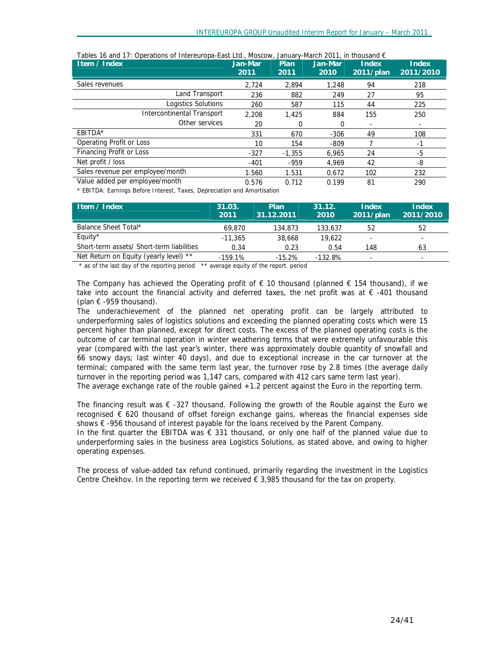| Item / Index                      | Jan-Mar<br>2011 | Plan<br>2011 | Jan-Mar<br>2010 | <b>Index</b><br>$2011$ /plan | <b>Index</b><br>2011/2010 |
|-----------------------------------|-----------------|--------------|-----------------|------------------------------|---------------------------|
| Sales revenues                    | 2.724           | 2.894        | 1,248           | 94                           | 218                       |
| Land Transport                    | 236             | 882          | 249             | 27                           | 95                        |
| Logistics Solutions               | 260             | 587          | 115             | 44                           | 225                       |
| <b>Intercontinental Transport</b> | 2.208           | 1,425        | 884             | 155                          | 250                       |
| Other services                    | 20              | 0            | 0               |                              | ٠                         |
| EBITDA*                           | 331             | 670          | $-306$          | 49                           | 108                       |
| Operating Profit or Loss          | 10              | 154          | $-809$          |                              | -1                        |
| Financing Profit or Loss          | $-327$          | $-1.355$     | 6.965           | 24                           | -5                        |
| Net profit / loss                 | $-401$          | $-959$       | 4.969           | 42                           | -8                        |
| Sales revenue per employee/month  | 1.560           | 1.531        | 0.672           | 102                          | 232                       |
| Value added per employee/month    | 0.576           | 0.712        | 0.199           | 81                           | 290                       |

*Tables 16 and 17: Operations of Intereuropa-East Ltd., Moscow, January-March 2011, in thousand €* 

*\* EBITDA: Earnings Before Interest, Taxes, Depreciation and Amortisation*

| Item / Index                              | 31.03.<br>2011 | Plan<br>31.12.2011 | 31.12.<br>2010 | Index<br>2011/plan | <b>Index</b><br>2011/2010 |
|-------------------------------------------|----------------|--------------------|----------------|--------------------|---------------------------|
| Balance Sheet Total*                      | 69.870         | 134,873            | 133,637        | 52                 | 52                        |
| Equity $*$                                | $-11.365$      | 38,668             | 19,622         |                    |                           |
| Short-term assets/ Short-term liabilities | 0.34           | 0.23               | 0.54           | 148                | 63                        |
| Net Return on Equity (yearly level) **    | $-159.1%$      | $-15.2%$           | $-132.8%$      | -                  | $\overline{\phantom{a}}$  |

*\* as of the last day of the reporting period \*\* average equity of the report. period* 

The Company has achieved the Operating profit of  $\epsilon$  10 thousand (planned  $\epsilon$  154 thousand), if we take into account the financial activity and deferred taxes, the net profit was at € -401 thousand (plan  $\epsilon$  -959 thousand).

The underachievement of the planned net operating profit can be largely attributed to underperforming sales of logistics solutions and exceeding the planned operating costs which were 15 percent higher than planned, except for direct costs. The excess of the planned operating costs is the outcome of car terminal operation in winter weathering terms that were extremely unfavourable this year (compared with the last year's winter, there was approximately double quantity of snowfall and 66 snowy days; last winter 40 days), and due to exceptional increase in the car turnover at the terminal; compared with the same term last year, the turnover rose by 2.8 times (the average daily turnover in the reporting period was 1,147 cars, compared with 412 cars same term last year). The average exchange rate of the rouble gained +1.2 percent against the Euro in the reporting term.

The financing result was  $\epsilon$  -327 thousand. Following the growth of the Rouble against the Euro we recognised € 620 thousand of offset foreign exchange gains, whereas the financial expenses side shows € -956 thousand of interest payable for the loans received by the Parent Company.

In the first quarter the EBITDA was  $\epsilon$  331 thousand, or only one half of the planned value due to underperforming sales in the business area Logistics Solutions, as stated above, and owing to higher operating expenses.

The process of value-added tax refund continued, primarily regarding the investment in the Logistics Centre Chekhov. In the reporting term we received  $\epsilon$  3,985 thousand for the tax on property.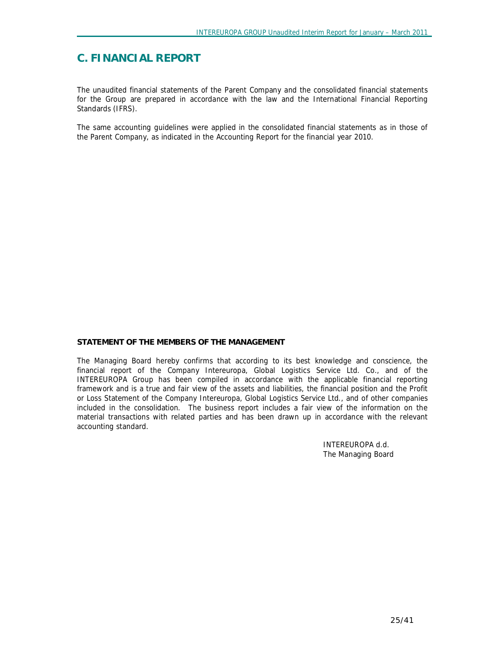# **C. FINANCIAL REPORT**

The unaudited financial statements of the Parent Company and the consolidated financial statements for the Group are prepared in accordance with the law and the International Financial Reporting Standards (IFRS).

The same accounting guidelines were applied in the consolidated financial statements as in those of the Parent Company, as indicated in the Accounting Report for the financial year 2010.

#### **STATEMENT OF THE MEMBERS OF THE MANAGEMENT**

The Managing Board hereby confirms that according to its best knowledge and conscience, the financial report of the Company Intereuropa, Global Logistics Service Ltd. Co., and of the INTEREUROPA Group has been compiled in accordance with the applicable financial reporting framework and is a true and fair view of the assets and liabilities, the financial position and the Profit or Loss Statement of the Company Intereuropa, Global Logistics Service Ltd., and of other companies included in the consolidation. The business report includes a fair view of the information on the material transactions with related parties and has been drawn up in accordance with the relevant accounting standard.

> INTEREUROPA d.d. The Managing Board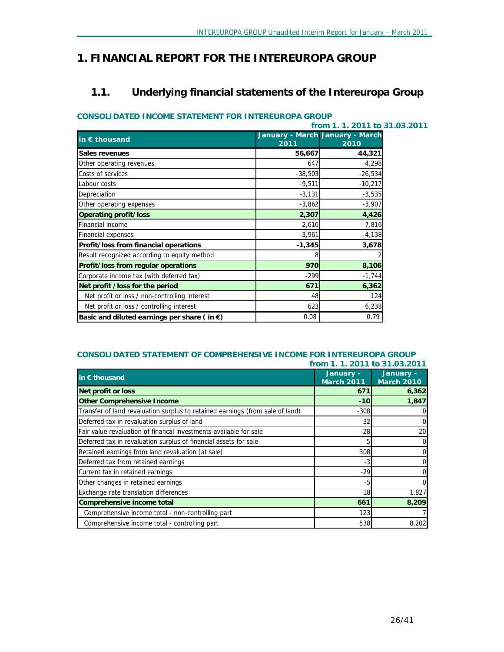# *1. FINANCIAL REPORT FOR THE INTEREUROPA GROUP*

# **1.1. Underlying financial statements of the Intereuropa Group**

## **CONSOLIDATED INCOME STATEMENT FOR INTEREUROPA GROUP**

|                                                       | from 1, 1, 2011 to 31,03,2011 |                                         |  |  |  |
|-------------------------------------------------------|-------------------------------|-----------------------------------------|--|--|--|
| in $\epsilon$ thousand                                | 2011                          | January - March January - March<br>2010 |  |  |  |
| Sales revenues                                        | 56,667                        | 44,321                                  |  |  |  |
| Other operating revenues                              | 647                           | 4,298                                   |  |  |  |
| Costs of services                                     | $-38,503$                     | $-26,534$                               |  |  |  |
| Labour costs                                          | $-9,511$                      | $-10,217$                               |  |  |  |
| Depreciation                                          | $-3,131$                      | $-3,535$                                |  |  |  |
| Other operating expenses                              | $-3,862$                      | $-3,907$                                |  |  |  |
| Operating profit/loss                                 | 2,307                         | 4,426                                   |  |  |  |
| <b>Financial income</b>                               | 2,616                         | 7,816                                   |  |  |  |
| <b>Financial expenses</b>                             | $-3,961$                      | $-4,138$                                |  |  |  |
| Profit/loss from financial operations                 | $-1,345$                      | 3,678                                   |  |  |  |
| Result recognized according to equity method          |                               |                                         |  |  |  |
| Profit/loss from regular operations                   | 970                           | 8,106                                   |  |  |  |
| Corporate income tax (with deferred tax)              | $-299$                        | $-1,744$                                |  |  |  |
| Net profit /loss for the period                       | 671                           | 6,362                                   |  |  |  |
| Net profit or loss / non-controlling interest         | 48                            | 124                                     |  |  |  |
| Net profit or loss / controlling interest             | 623                           | 6,238                                   |  |  |  |
| Basic and diluted earnings per share (in $\epsilon$ ) | 0.08                          | 0.79                                    |  |  |  |

#### **CONSOLIDATED STATEMENT OF COMPREHENSIVE INCOME FOR INTEREUROPA GROUP from 1. 1. 2011 to 31.03.2011**

| in $\epsilon$ thousand                                                        | January -<br><b>March 2011</b> | January -<br><b>March 2010</b> |
|-------------------------------------------------------------------------------|--------------------------------|--------------------------------|
| <b>Net profit or loss</b>                                                     | 671                            | 6,362                          |
| <b>Other Comprehensive Income</b>                                             | $-10$                          | 1,847                          |
| Transfer of land revaluation surplus to retained earnings (from sale of land) | $-308$                         | 0                              |
| Deferred tax in revaluation surplus of land                                   | 32                             | 0                              |
| Fair value revaluation of financal investments available for sale             | $-28$                          | 20                             |
| Deferred tax in revaluation surplus of financial assets for sale              | 5                              | 0                              |
| Retained earnings from land revaluation (at sale)                             | 308                            | 0                              |
| Deferred tax from retained earnings                                           | -3                             | 0                              |
| Current tax in retained earnings                                              | $-29$                          | 0                              |
| Other changes in retained earnings                                            | -5                             | 0                              |
| Exchange rate translation differences                                         | 18                             | 1,827                          |
| Comprehensive income total                                                    | 661                            | 8,209                          |
| Comprehensive income total - non-controlling part                             | 123                            |                                |
| Comprehensive income total - controlling part                                 | 538                            | 8,202                          |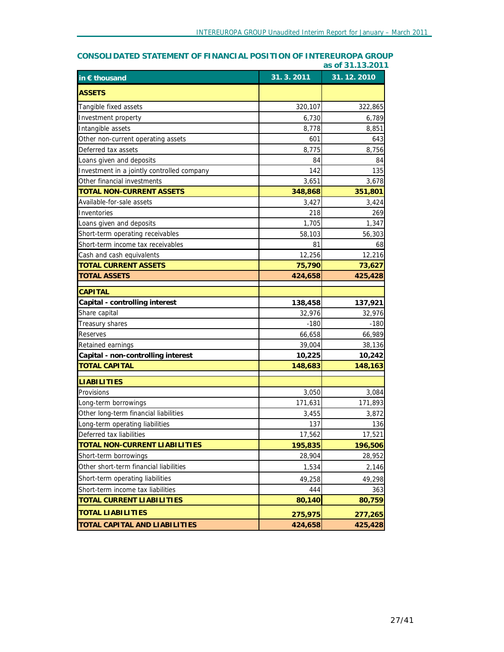# **in € thousand 31. 3. 2011 31. 12. 2010 ASSETS** Tangible fixed assets 320,107 322,865 Investment property  $6,730$  6,739 Intangible assets 8,778 8,851 Other non-current operating assets 601 643 Deferred tax assets  $8,775$  8,756 Loans given and deposits  $84$  84  $84$ Investment in a jointly controlled company 142 142 135 Other financial investments and the state of the state of the state of the state of the state of the state of the state of the state of the state of the state of the state of the state of the state of the state of the stat **TOTAL NON-CURRENT ASSETS 348,868 351,801** Available-for-sale assets 3,424 3,424 Inventories 269 Loans given and deposits  $1,347$ Short-term operating receivables 56,303 56,303 56,303 Short-term income tax receivables 68 and 1 68 Cash and cash equivalents 12,256 12,216 **TOTAL CURRENT ASSETS 75,790 73,627 TOTAL ASSETS 424,658 425,428 CAPITAL Capital - controlling interest 138,458 137,921** Share capital 32,976  $\overline{32,976}$  32,976  $\overline{32,976}$  32,976 Treasury shares -180 -180 Reserves  $66,658$  66,989 Retained earnings 39,004 38,136 **Capital - non-controlling interest 10,225 10,242 TOTAL CAPITAL 148,683 148,163 LIABILITIES** Provisions 3,084 3,050 3,084 Long-term borrowings 171,631 171,893 Other long-term financial liabilities 3,455 3,872 Long-term operating liabilities 137 136 Deferred tax liabilities 17,562 17,521 **TOTAL NON-CURRENT LIABILITIES 195,835 196,506** Short-term borrowings 28,904 28,952 Other short-term financial liabilities 1,534 2,146 Short-term operating liabilities 49,258 49,298 Short-term income tax liabilities 444 363 **TOTAL CURRENT LIABILITIES 80,140 80,759 TOTAL LIABILITIES 275,975 277,265 TOTAL CAPITAL AND LIABILITIES 424,658 425,428**

## **CONSOLIDATED STATEMENT OF FINANCIAL POSITION OF INTEREUROPA GROUP as of 31.13.2011**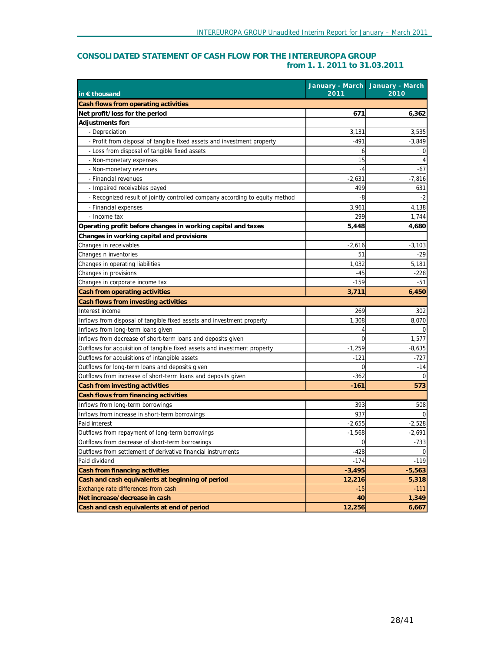# **CONSOLIDATED STATEMENT OF CASH FLOW FOR THE INTEREUROPA GROUP from 1. 1. 2011 to 31.03.2011**

| in $\epsilon$ thousand                                                       | 2011     | January - March January - March<br>2010 |
|------------------------------------------------------------------------------|----------|-----------------------------------------|
| Cash flows from operating activities                                         |          |                                         |
| Net profit/loss for the period                                               | 671      | 6,362                                   |
| Adjustments for:                                                             |          |                                         |
| - Depreciation                                                               | 3,131    | 3,535                                   |
| - Profit from disposal of tangible fixed assets and investment property      | $-491$   | $-3,849$                                |
| - Loss from disposal of tangible fixed assets                                | 6        |                                         |
| - Non-monetary expenses                                                      | 15       | 4                                       |
| - Non-monetary revenues                                                      | $-4$     | $-67$                                   |
| - Financial revenues                                                         | $-2,631$ | $-7,816$                                |
| - Impaired receivables payed                                                 | 499      | 631                                     |
| - Recognized result of jointly controlled company according to equity method | -8       | -2                                      |
| - Financial expenses                                                         | 3,961    | 4,138                                   |
| - Income tax                                                                 | 299      | 1,744                                   |
| Operating profit before changes in working capital and taxes                 | 5,448    | 4,680                                   |
| Changes in working capital and provisions                                    |          |                                         |
| Changes in receivables                                                       | $-2,616$ | $-3,103$                                |
| Changes n inventories                                                        | 51       | -29                                     |
| Changes in operating liabilities                                             | 1,032    | 5,181                                   |
| Changes in provisions                                                        | -45      | $-228$                                  |
| Changes in corporate income tax                                              | -159     | $-51$                                   |
| Cash from operating activities                                               | 3,711    | 6,450                                   |
| Cash flows from investing activities                                         |          |                                         |
| Interest income                                                              | 269      | 302                                     |
| Inflows from disposal of tangible fixed assets and investment property       | 1,308    | 8,070                                   |
| Inflows from long-term loans given                                           | 4        |                                         |
| Inflows from decrease of short-term loans and deposits given                 | 0        | 1,577                                   |
| Outflows for acquisition of tangible fixed assets and investment property    | $-1,259$ | -8,635                                  |
| Outflows for acquisitions of intangible assets                               | -121     | -727                                    |
| Outflows for long-term loans and deposits given                              | 0        | $-14$                                   |
| Outflows from increase of short-term loans and deposits given                | $-362$   | 0                                       |
| Cash from investing activities                                               | $-161$   | 573                                     |
| Cash flows from financing activities                                         |          |                                         |
| Inflows from long-term borrowings                                            | 393      | 508                                     |
| Inflows from increase in short-term borrowings                               | 937      |                                         |
| Paid interest                                                                | $-2,655$ | $-2,528$                                |
| Outflows from repayment of long-term borrowings                              | $-1,568$ | -2,691                                  |
| Outflows from decrease of short-term borrowings                              | 0        | $-733$                                  |
| Outflows from settlement of derivative financial instruments                 | $-428$   | $\mathbf 0$                             |
| Paid dividend                                                                | $-174$   | $-119$                                  |
| Cash from financing activities                                               | $-3,495$ | $-5,563$                                |
| Cash and cash equivalents at beginning of period                             | 12,216   | 5,318                                   |
| Exchange rate differences from cash                                          | -15      | $-111$                                  |
| Net increase/decrease in cash                                                | 40       | 1,349                                   |
| Cash and cash equivalents at end of period                                   | 12,256   | 6,667                                   |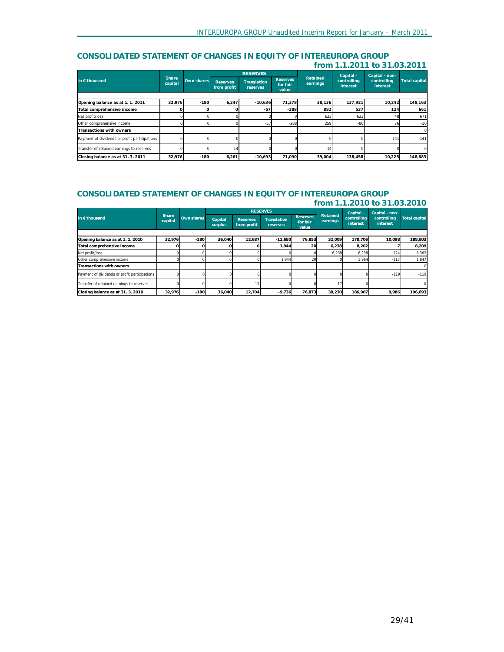## **CONSOLIDATED STATEMENT OF CHANGES IN EQUITY OF INTEREUROPA GROUP from 1.1.2011 to 31.03.2011**

|                                               |                         |            | <b>RESERVES</b>                |                                |                                      | Capital - | Capital - non- |                         |                         |                      |
|-----------------------------------------------|-------------------------|------------|--------------------------------|--------------------------------|--------------------------------------|-----------|----------------|-------------------------|-------------------------|----------------------|
| in $\epsilon$ thousand                        | <b>Share</b><br>capital | Own shares | <b>Reserves</b><br>from profit | <b>Translation</b><br>reserves | <b>Reserves</b><br>for fair<br>value | earnings  | Retained       | controlling<br>interest | controlling<br>interest | <b>Total capital</b> |
|                                               |                         |            |                                |                                |                                      |           |                |                         |                         |                      |
| Opening balance as at 1.1.2011                | 32,976                  | $-180$     | 6,247                          | $-10.636$                      | 71.378                               | 38,136    | 137.921        | 10,242                  | 148,163                 |                      |
| Total comprehensive income                    |                         |            |                                | $-57$                          | $-288$                               | 882       | 537            | 124                     | 661                     |                      |
| Net profit/loss                               |                         |            |                                |                                |                                      | 623       | 623            | 48                      | 671                     |                      |
| Other comprehensive income                    |                         |            |                                | $-57$                          | $-288$                               | 259       | $-86$          | 76                      | $-10$                   |                      |
| Transactions with owners                      |                         |            |                                |                                |                                      |           |                |                         | $\mathbf{0}$            |                      |
| Payment of dividends or profit participations |                         |            |                                |                                |                                      |           |                | $-141$                  | $-141$                  |                      |
| Transfer of retained earnings to reserves     |                         |            | 14                             |                                |                                      | $-14$     |                |                         | $\Omega$                |                      |
| Closing balance as at 31, 3, 2011             | 32.976                  | $-180$     | 6,261                          | $-10.693$                      | 71.090                               | 39,004    | 138.458        | 10.225                  | 148.683                 |                      |

#### **CONSOLIDATED STATEMENT OF CHANGES IN EQUITY OF INTEREUROPA GROUP from 1.1.2010 to 31.03.2010**

|                                               |                  |            | <b>RESERVES</b>    |                                |                                |                                      | Capital -            | Capital - non-          |                         |                      |
|-----------------------------------------------|------------------|------------|--------------------|--------------------------------|--------------------------------|--------------------------------------|----------------------|-------------------------|-------------------------|----------------------|
| in $\epsilon$ thousand                        | Share<br>capital | Own shares | Capital<br>surplus | <b>Reserves</b><br>from profit | <b>Translation</b><br>reserves | <b>Reserves</b><br>for fair<br>value | Retained<br>earnings | controlling<br>interest | controlling<br>interest | <b>Total capital</b> |
|                                               |                  |            |                    |                                |                                |                                      |                      |                         |                         |                      |
| Opening balance as at 1.1.2010                | 32,976           | $-180$     | 36.040             | 12,687                         | $-11.680$                      | 76.853                               | 32.009               | 178.706                 | 10.098                  | 188.803              |
| Total comprehensive income                    |                  |            |                    |                                | 1,944                          | 20                                   | 6,238                | 8.202                   |                         | 8.209                |
| Net profit/loss                               |                  |            |                    |                                |                                |                                      | 6,238                | 6,238                   | 124                     | 6,362                |
| Other comprehensive income                    |                  |            |                    |                                | 1.944                          | 20                                   |                      | 1.964                   | $-117$                  | 1.847                |
| <b>Transactions with owners</b>               |                  |            |                    |                                |                                |                                      |                      |                         |                         | $\Omega$             |
| Payment of dividends or profit participations |                  |            |                    |                                |                                |                                      |                      |                         | $-119$                  | $-119$               |
| Transfer of retained earnings to reserves     |                  |            |                    | 17                             |                                |                                      | $-17$                |                         |                         | $\Omega$             |
| Closing balance as at 31. 3. 2010             | 32,976           | $-180$     | 36.040             | 12,704                         | $-9,736$                       | 76,873                               | 38,230               | 186,907                 | 9,986                   | 196,893              |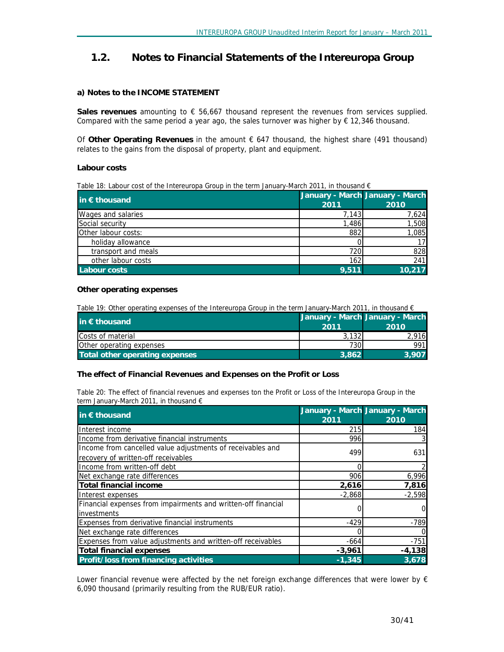# **1.2. Notes to Financial Statements of the Intereuropa Group**

## **a) Notes to the INCOME STATEMENT**

**Sales revenues** amounting to € 56,667 thousand represent the revenues from services supplied. Compared with the same period a year ago, the sales turnover was higher by  $\epsilon$  12,346 thousand.

Of **Other Operating Revenues** in the amount € 647 thousand, the highest share (491 thousand) relates to the gains from the disposal of property, plant and equipment.

## **Labour costs**

|  |  |  | Table 18: Labour cost of the Intereuropa Group in the term January-March 2011, in thousand $\epsilon$ |
|--|--|--|-------------------------------------------------------------------------------------------------------|
|  |  |  |                                                                                                       |

| in € thousand       | January - March January - March |        |
|---------------------|---------------------------------|--------|
|                     | 2011                            | 2010   |
| Wages and salaries  | 7,143                           | 7,624  |
| Social security     | 1,486                           | 1,508  |
| Other labour costs: | 882                             | 1,085  |
| holiday allowance   |                                 | 17     |
| transport and meals | 720                             | 828    |
| other labour costs  | 162                             | 241    |
| Labour costs        | 9.511                           | 10,217 |

## **Other operating expenses**

Table 19: Other operating expenses of the Intereuropa Group in the term January-March 2011, in thousand €

| in $\epsilon$ thousand          | 2011  | January - March January - March<br>2010 |
|---------------------------------|-------|-----------------------------------------|
| Costs of material               | 3.132 | 2.916                                   |
| <b>Other operating expenses</b> | 730I  | 991                                     |
| Total other operating expenses  | 3.862 | 3.907                                   |

#### **The effect of Financial Revenues and Expenses on the Profit or Loss**

Table 20: The effect of financial revenues and expenses ton the Profit or Loss of the Intereuropa Group in the *term January-March 2011, in thousand €* 

|                                                               |          | January - March January - March |
|---------------------------------------------------------------|----------|---------------------------------|
| in $\epsilon$ thousand                                        | 2011     | 2010                            |
| Interest income                                               | 215      | 184                             |
| Income from derivative financial instruments                  | 996      |                                 |
| Income from cancelled value adjustments of receivables and    | 499      | 631                             |
| recovery of written-off receivables                           |          |                                 |
| Income from written-off debt                                  |          |                                 |
| Net exchange rate differences                                 | 906      | 6,996                           |
| Total financial income                                        | 2,616    | 7,816                           |
| Interest expenses                                             | $-2,868$ | $-2,598$                        |
| Financial expenses from impairments and written-off financial |          | 0                               |
| <b>linvestments</b>                                           |          |                                 |
| <b>Expenses from derivative financial instruments</b>         | $-429$   | $-789$                          |
| Net exchange rate differences                                 |          |                                 |
| Expenses from value adjustments and written-off receivables   | $-664$   | $-751$                          |
| Total financial expenses                                      | $-3,961$ | $-4,138$                        |
| <b>Profit/loss from financing activities</b>                  | $-1.345$ | 3,678                           |

Lower financial revenue were affected by the net foreign exchange differences that were lower by  $\epsilon$ 6,090 thousand (primarily resulting from the RUB/EUR ratio).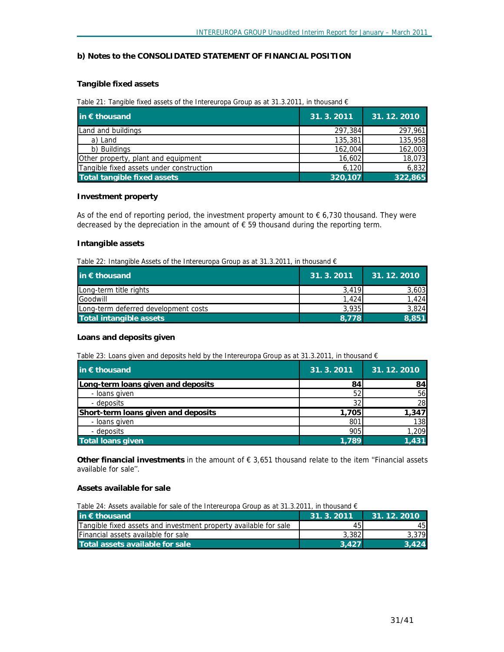#### **b) Notes to the CONSOLIDATED STATEMENT OF FINANCIAL POSITION**

#### **Tangible fixed assets**

#### *Table 21: Tangible fixed assets of the Intereuropa Group as at 31.3.2011, in thousand €*

| in $\epsilon$ thousand                   | 31.3.2011 | 31.12.2010 |
|------------------------------------------|-----------|------------|
| Land and buildings                       | 297,384   | 297,961    |
| a) Land                                  | 135,381   | 135,958    |
| b) Buildings                             | 162,004   | 162,003    |
| Other property, plant and equipment      | 16,602    | 18,073     |
| Tangible fixed assets under construction | 6,120     | 6,832      |
| <b>Total tangible fixed assets</b>       | 320,107   | 322,865    |

#### **Investment property**

As of the end of reporting period, the investment property amount to  $\epsilon$  6,730 thousand. They were decreased by the depreciation in the amount of  $\epsilon$  59 thousand during the reporting term.

#### **Intangible assets**

*Table 22: Intangible Assets of the Intereuropa Group as at 31.3.2011, in thousand €* 

| in $\epsilon$ thousand               | 31.3.2011 | 31.12.2010 |
|--------------------------------------|-----------|------------|
| Long-term title rights               | 3.419     | 3,603      |
| Goodwill                             | 1.424     | .424       |
| Long-term deferred development costs | 3.935     | 3,824      |
| Total intangible assets              | 8.778     | 8.851      |

#### **Loans and deposits given**

*Table 23: Loans given and deposits held by the Intereuropa Group as at 31.3.2011, in thousand €* 

| in $\epsilon$ thousand              | 31.3.2011 | 31.12.2010 |
|-------------------------------------|-----------|------------|
| Long-term loans given and deposits  | 84        | 84         |
| - Ioans given                       | 52        | <b>56</b>  |
| - deposits                          | 32        | 28         |
| Short-term loans given and deposits | 1.705     | 1,347      |
| - Ioans given                       | 801       | 138        |
| - deposits                          | 905       | 1,209      |
| <b>Total loans given</b>            | 1.789     | 1.431      |

**Other financial investments** in the amount of € 3,651 thousand relate to the item ''Financial assets available for sale''.

#### **Assets available for sale**

*Table 24: Assets available for sale of the Intereuropa Group as at 31.3.2011, in thousand €* 

| in $\epsilon$ thousand                                           | 31.3.2011 | $\parallel$ 31, 12, 2010 |
|------------------------------------------------------------------|-----------|--------------------------|
| Tangible fixed assets and investment property available for sale | 45        | 45                       |
| <b>Financial assets available for sale</b>                       | 3.382     | 3.379                    |
| Total assets available for sale                                  | 3.427     | 3.424                    |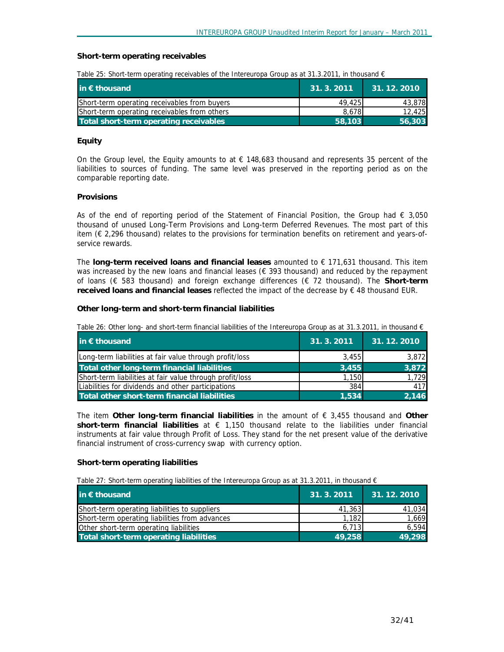#### **Short-term operating receivables**

|  |  | Table 25: Short-term operating receivables of the Intereuropa Group as at 31.3.2011, in thousand $\epsilon$ |  |
|--|--|-------------------------------------------------------------------------------------------------------------|--|
|  |  |                                                                                                             |  |

| $\mathsf{lin} \in \mathsf{thousand}$         | 31.3.2011 | 31.12.2010 |
|----------------------------------------------|-----------|------------|
| Short-term operating receivables from buyers | 49.425    | 43,878     |
| Short-term operating receivables from others | 8.678     | 12.425     |
| Total short-term operating receivables       | 58.103    | 56,303     |

#### **Equity**

On the Group level, the Equity amounts to at  $\epsilon$  148,683 thousand and represents 35 percent of the liabilities to sources of funding. The same level was preserved in the reporting period as on the comparable reporting date.

#### **Provisions**

As of the end of reporting period of the Statement of Financial Position, the Group had  $\epsilon$  3,050 thousand of unused Long-Term Provisions and Long-term Deferred Revenues. The most part of this item (€ 2,296 thousand) relates to the provisions for termination benefits on retirement and years-ofservice rewards.

The **long-term received loans and financial leases** amounted to € 171,631 thousand. This item was increased by the new loans and financial leases ( $\epsilon$  393 thousand) and reduced by the repayment of loans (€ 583 thousand) and foreign exchange differences (€ 72 thousand). The **Short-term received loans and financial leases** reflected the impact of the decrease by € 48 thousand EUR.

#### **Other long-term and short-term financial liabilities**

| Table 26: Other long- and short-term financial liabilities of the Intereuropa Group as at 31.3.2011, in thousand $\epsilon$ |  |
|-----------------------------------------------------------------------------------------------------------------------------|--|
|-----------------------------------------------------------------------------------------------------------------------------|--|

| in € thousand                                            | 31.3.2011 | 31.12.2010 |
|----------------------------------------------------------|-----------|------------|
| Long-term liabilities at fair value through profit/loss  | 3.455     | 3,872      |
| Total other long-term financial liabilities              | 3.455     | 3,872      |
| Short-term liabilities at fair value through profit/loss | 1,150     | 1.729      |
| Liabilities for dividends and other participations       | 384       | 417        |
| Total other short-term financial liabilities             | 1.534     | 2.146      |

The item **Other long-term financial liabilities** in the amount of € 3,455 thousand and **Other short-term financial liabilities** at € 1,150 thousand relate to the liabilities under financial instruments at fair value through Profit of Loss. They stand for the net present value of the derivative financial instrument of cross-currency swap with currency option.

#### **Short-term operating liabilities**

*Table 27: Short-term operating liabilities of the Intereuropa Group as at 31.3.2011, in thousand €* 

| in $\epsilon$ thousand                         | 31.3.2011 | 31.12.2010 |
|------------------------------------------------|-----------|------------|
| Short-term operating liabilities to suppliers  | 41,363    | 41,034     |
| Short-term operating liabilities from advances | 1.182     | 1.669      |
| Other short-term operating liabilities         | 6.713     | 6.594      |
| Total short-term operating liabilities         | 49,258    | 49.298     |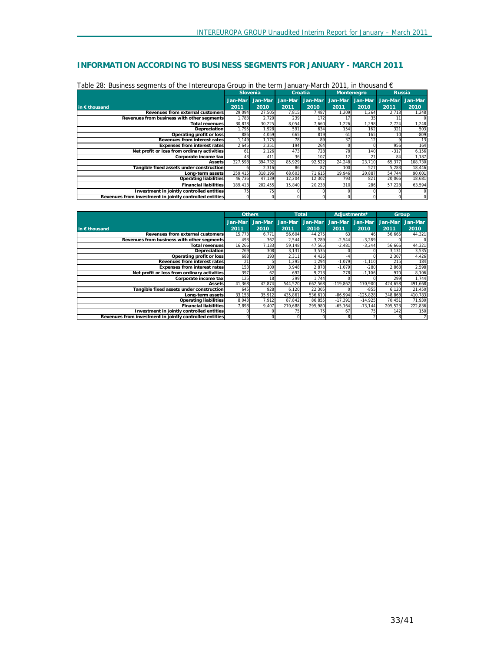# **INFORMATION ACCORDING TO BUSINESS SEGMENTS FOR JANUARY - MARCH 2011**

|                                                         | Slovenia     |         | Croatia |         |         | Montenegro |                 | <b>Russia</b> |
|---------------------------------------------------------|--------------|---------|---------|---------|---------|------------|-----------------|---------------|
|                                                         | Jan-Mar      | Jan-Mar | Jan-Mar | Jan-Mar | Jan-Mar | Jan-Mar    | Jan-Mar         | Jan-Mar       |
| in $\epsilon$ thousand                                  | 2011         | 2010    | 2011    | 2010    | 2011    | 2010       | 2011            | 2010          |
| Revenues from external customers                        | 29,094       | 27,505  | 7,815   | 7,487   | ,209    | 1,264      | 2,713           | 1,248         |
| Revenues from business with other seaments              | 1,783        | 2,720   | 239     | 172     |         | 35         | 11              |               |
| <b>Total revenues</b>                                   | 30,878       | 30,225  | 8,054   | 7.660   | ,226    | 1,298      | 2,724           | 1,248         |
| Depreciation                                            | .795         | 1,928   | 591     | 634     | 154     | 162        | 321             | 503           |
| Operating profit or loss                                | 886          | 4,059   | 665     | 819     | 61      | 165        | 10 <sup>1</sup> | $-809$        |
| Revenues from interest rates                            | 1,149        | 1,175   | 78      | 89      | 37      | 12         |                 | 13            |
| <b>Expenses from interest rates</b>                     | 2,645        | 2,351   | 194     | 264     |         |            | 956             | 164           |
| Net profit or loss from ordinary activities             | 61           | 2,126   | 473     | 728     | 78      | 140        | $-317$          | 6,156         |
| Corporate income tax                                    | 43           | 411     | 36      | 107     | 12      | 21         | 84              | 1,187         |
| Assets                                                  | 327,598      | 394.732 | 85,929  | 92,522  | 24.248  | 23.710     | 65.377          | 108,730       |
| Tangible fixed assets under construction                | <sub>D</sub> | 2,316   | 86      | 87      | 100     | 527        | 5,283           | 18,446        |
| Long-term assets                                        | 259,415      | 318,196 | 68,603  | 71,615  | 19,946  | 20,887     | 54,744          | 90,001        |
| <b>Operating liabilities</b>                            | 46.736       | 47,139  | 12.204  | 12.302  | 793     | 821        | 20.066          | 18,681        |
| <b>Financial liabilities</b>                            | 189.413      | 202.455 | 15.840  | 20.238  | 310     | 286        | 57.228          | 63.594        |
| Investment in jointly controlled entities               | 75           | 75      |         |         |         |            |                 |               |
| Revenues from investment in jointly controlled entities |              |         |         |         |         |            |                 |               |

| Table 28: Business seaments of the Intereuropa Group in the term January-March 2011, in thousand $\epsilon$ |
|-------------------------------------------------------------------------------------------------------------|
|-------------------------------------------------------------------------------------------------------------|

|                                                         |                 | <b>Others</b>   |                 | <b>Total</b>    |                 | Adiustments*    |                 | Group           |
|---------------------------------------------------------|-----------------|-----------------|-----------------|-----------------|-----------------|-----------------|-----------------|-----------------|
| in $\epsilon$ thousand                                  | Jan-Mar<br>2011 | Jan-Mar<br>2010 | Jan-Mar<br>2011 | Jan-Mar<br>2010 | Jan-Mar<br>2011 | Jan-Mar<br>2010 | Jan-Mar<br>2011 | Jan-Mar<br>2010 |
| Revenues from external customers                        | 15.773          | 6,771           | 56,604          | 44,275          | 63              | 46              | 56.666          | 44,321          |
| Revenues from business with other seaments              | 493             | 362             | 2,544           | 3,289           | $-2,544$        | $-3,289$        |                 | $\Omega$        |
| <b>Total revenues</b>                                   | 16,266          | 7,133           | 59,148          | 47.565          | $-2,481$        | $-3,244$        | 56.666          | 44,321          |
| <b>Depreciation</b>                                     | 269             | 308             | 3,131           | 3,535           |                 |                 | 3,131           | 3,535           |
| Operating profit or loss                                | 688             | 193             | 2,311           | 4.426           |                 |                 | 2.307           | 4,426           |
| Revenues from interest rates                            | 21              |                 | 1.295           | 1.294           | $-1.079$        | $-1.110$        | 215             | 184             |
| <b>Expenses from interest rates</b>                     | 153             | 100             | 3,948           | 2,878           | $-1,079$        | $-280$          | 2,868           | 2,598           |
| Net profit or loss from ordinary activities             | 397             | 62              | 692             | 9,213           | 278             | $-1.106$        | 970             | 8,106           |
| Corporate income tax                                    | 125             | 18              | 299             | 1.744           |                 |                 | 299             | 1,744           |
| Assets                                                  | 41.368          | 42,874          | 544.520         | 662.568         | $-119.862$      | $-170.900$      | 424.658         | 491,668         |
| Tangible fixed assets under construction                | 645             | 928             | 6,120           | 22,305          |                 | $-855$          | 6.120           | 21,450          |
| Long-term assets                                        | 33.153          | 35,912          | 435.861         | 536.610         | $-86,994$       | $-125.828$      | 348.868         | 410,783         |
| <b>Operating liabilities</b>                            | 8,043           | 7.912           | 87.842          | 86.855          | $-17,391$       | $-14.925$       | 70.451          | 71,930          |
| <b>Financial liabilities</b>                            | 7,898           | 9,407           | 270,688         | 295.980         | $-65, 164$      | $-73.144$       | 205,523         | 222,836         |
| Investment in jointly controlled entities               |                 |                 | 75              | 75              | 67              | 75              | 142             | 150             |
| Revenues from investment in jointly controlled entities | $\Omega$        |                 |                 |                 | 8               |                 |                 | $\overline{2}$  |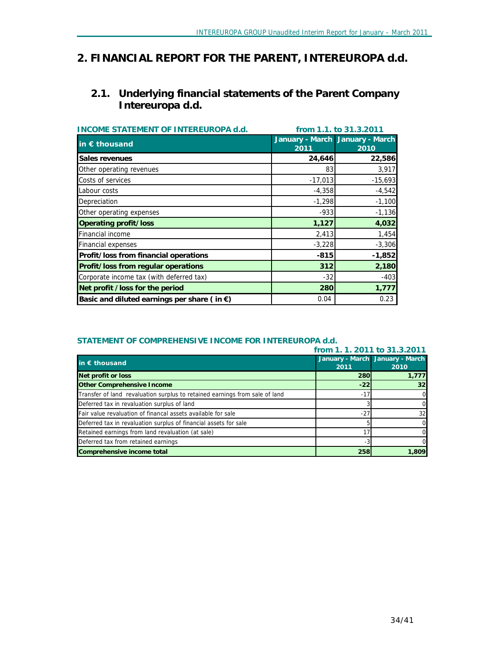# *2. FINANCIAL REPORT FOR THE PARENT, INTEREUROPA d.d.*

# **2.1. Underlying financial statements of the Parent Company Intereuropa d.d.**

| <b>INCOME STATEMENT OF INTEREUROPA d.d.</b>           | from 1.1. to 31.3.2011 |                                         |  |
|-------------------------------------------------------|------------------------|-----------------------------------------|--|
| in $\epsilon$ thousand                                | 2011                   | January - March January - March<br>2010 |  |
| Sales revenues                                        | 24,646                 | 22,586                                  |  |
| Other operating revenues                              | 83                     | 3,917                                   |  |
| Costs of services                                     | $-17,013$              | $-15,693$                               |  |
| Labour costs                                          | $-4,358$               | $-4,542$                                |  |
| Depreciation                                          | $-1,298$               | $-1,100$                                |  |
| Other operating expenses                              | $-933$                 | $-1,136$                                |  |
| <b>Operating profit/loss</b>                          | 1,127                  | 4,032                                   |  |
| <b>Financial income</b>                               | 2,413                  | 1,454                                   |  |
| <b>Financial expenses</b>                             | $-3,228$               | $-3,306$                                |  |
| Profit/loss from financial operations                 | $-815$                 | $-1,852$                                |  |
| Profit/loss from regular operations                   | 312                    | 2,180                                   |  |
| Corporate income tax (with deferred tax)              | $-32$                  | $-403$                                  |  |
| Net profit /loss for the period                       | 280                    | 1,777                                   |  |
| Basic and diluted earnings per share (in $\epsilon$ ) | 0.04                   | 0.23                                    |  |

# **STATEMENT OF COMPREHENSIVE INCOME FOR INTEREUROPA d.d.**

|                                                                             | from 1.1.2011 to 31.3.2011 |                                 |
|-----------------------------------------------------------------------------|----------------------------|---------------------------------|
| in $\epsilon$ thousand                                                      |                            | January - March January - March |
|                                                                             | 2011                       | 2010                            |
| Net profit or loss                                                          | <b>280</b>                 | 1,777                           |
| <b>Other Comprehensive Income</b>                                           | $-22$                      | 32                              |
| Transfer of land revaluation surplus to retained earnings from sale of land | $-17'$                     | 0                               |
| Deferred tax in revaluation surplus of land                                 |                            | 0                               |
| Fair value revaluation of financal assets available for sale                | -27                        | 32                              |
| Deferred tax in revaluation surplus of financial assets for sale            |                            | 0                               |
| Retained earnings from land revaluation (at sale)                           |                            | 0                               |
| Deferred tax from retained earnings                                         | -3                         | 0                               |
| Comprehensive income total                                                  | 258                        | 1,809                           |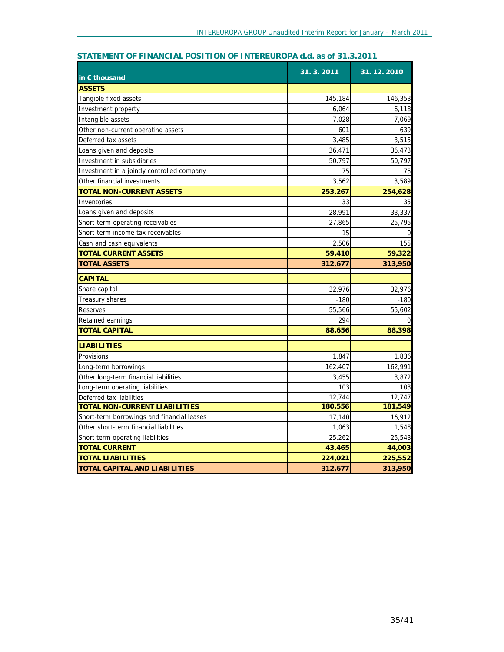| in $\epsilon$ thousand                     | 31. 3. 2011 | 31.12.2010 |
|--------------------------------------------|-------------|------------|
| <b>ASSETS</b>                              |             |            |
| Tangible fixed assets                      | 145,184     | 146,353    |
| Investment property                        | 6,064       | 6,118      |
| Intangible assets                          | 7,028       | 7,069      |
| Other non-current operating assets         | 601         | 639        |
| Deferred tax assets                        | 3,485       | 3,515      |
| Loans given and deposits                   | 36,471      | 36,473     |
| Investment in subsidiaries                 | 50,797      | 50,797     |
| Investment in a jointly controlled company | 75          | 75         |
| Other financial investments                | 3,562       | 3,589      |
| <b>TOTAL NON-CURRENT ASSETS</b>            | 253,267     | 254,628    |
| Inventories                                | 33          | 35         |
| Loans given and deposits                   | 28,991      | 33,337     |
| Short-term operating receivables           | 27,865      | 25,795     |
| Short-term income tax receivables          | 15          | $\Omega$   |
| Cash and cash equivalents                  | 2,506       | 155        |
| TOTAL CURRENT ASSETS                       | 59,410      | 59,322     |
| <b>TOTAL ASSETS</b>                        | 312,677     | 313,950    |
| <b>CAPITAL</b>                             |             |            |
| Share capital                              | 32,976      | 32,976     |
| Treasury shares                            | $-180$      | $-180$     |
| <b>Reserves</b>                            | 55,566      | 55,602     |
| Retained earnings                          | 294         | ∩          |
| <b>TOTAL CAPITAL</b>                       | 88,656      | 88,398     |
| <b>LIABILITIES</b>                         |             |            |
| Provisions                                 | 1,847       | 1,836      |
| Long-term borrowings                       | 162,407     | 162,991    |
| Other long-term financial liabilities      | 3,455       | 3,872      |
| Long-term operating liabilities            | 103         | 103        |
| Deferred tax liabilities                   | 12,744      | 12,747     |
| TOTAL NON-CURRENT LIABILITIES              | 180,556     | 181,549    |
| Short-term borrowings and financial leases | 17,140      | 16,912     |
| Other short-term financial liabilities     | 1,063       | 1,548      |
| Short term operating liabilities           | 25,262      | 25,543     |
| <b>TOTAL CURRENT</b>                       | 43,465      | 44,003     |
| <b>TOTAL LIABILITIES</b>                   | 224,021     | 225,552    |
| <b>TOTAL CAPITAL AND LIABILITIES</b>       | 312,677     | 313,950    |

# **STATEMENT OF FINANCIAL POSITION OF INTEREUROPA d.d. as of 31.3.2011**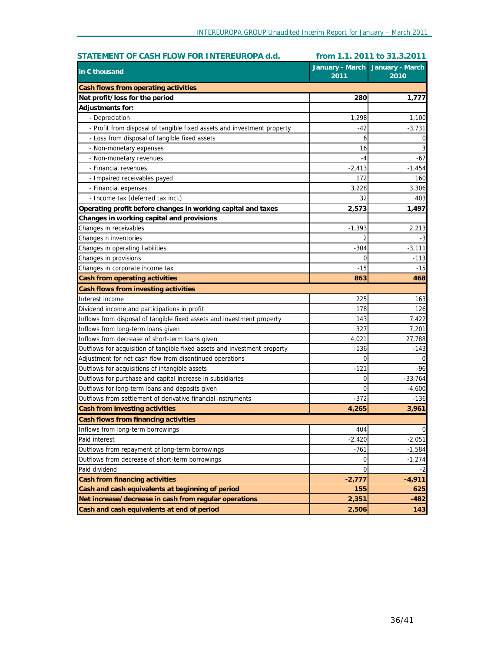| STATEMENT OF CASH FLOW FOR INTEREUROPA d.d.                               |          | from 1.1. 2011 to 31.3.2011               |
|---------------------------------------------------------------------------|----------|-------------------------------------------|
| in $\epsilon$ thousand                                                    | 2011     | January - March   January - March<br>2010 |
| Cash flows from operating activities                                      |          |                                           |
| Net profit/loss for the period                                            | 280      | 1,777                                     |
| Adjustments for:                                                          |          |                                           |
| - Depreciation                                                            | 1,298    | 1,100                                     |
| - Profit from disposal of tangible fixed assets and investment property   | -42      | $-3,731$                                  |
| - Loss from disposal of tangible fixed assets                             | 6        |                                           |
| - Non-monetary expenses                                                   | 16       |                                           |
| - Non-monetary revenues                                                   | $-4$     | $-67$                                     |
| - Financial revenues                                                      | $-2,413$ | $-1,454$                                  |
| - Impaired receivables payed                                              | 172      | 160                                       |
| - Financial expenses                                                      | 3,228    | 3,306                                     |
| - Income tax (deferred tax incl.)                                         | 32       | 403                                       |
| Operating profit before changes in working capital and taxes              | 2,573    | 1,497                                     |
| Changes in working capital and provisions                                 |          |                                           |
| Changes in receivables                                                    | $-1,393$ | 2,213                                     |
| Changes n inventories                                                     |          | -3                                        |
| Changes in operating liabilities                                          | $-304$   | $-3,111$                                  |
| Changes in provisions                                                     | 0        | -113                                      |
| Changes in corporate income tax                                           | $-15$    | -15                                       |
| Cash from operating activities                                            | 863      | 468                                       |
| Cash flows from investing activities                                      |          |                                           |
| Interest income                                                           | 225      | 163                                       |
| Dividend income and participations in profit                              | 178      | 126                                       |
| Inflows from disposal of tangible fixed assets and investment property    | 143      | 7,422                                     |
| Inflows from long-term loans given                                        | 327      | 7,201                                     |
| Inflows from decrease of short-term loans given                           | 4,021    | 27,788                                    |
| Outflows for acquisition of tangible fixed assets and investment property | $-136$   | -143                                      |
| Adjustment for net cash flow from disontinued operations                  | 0        |                                           |
| Outflows for acquisitions of intangible assets                            | $-121$   | -96                                       |
| Outflows for purchase and capital increase in subsidiaries                | 0        | $-33,764$                                 |
| Outflows for long-term loans and deposits given                           | 0        | -4,600                                    |
| Outflows from settlement of derivative financial instruments              | $-372$   | $-136$                                    |
| Cash from investing activities                                            | 4,265    | 3,961                                     |
| Cash flows from financing activities                                      |          |                                           |
| Inflows from long-term borrowings                                         | 404      | $\overline{0}$                            |
| Paid interest                                                             | $-2,420$ | $-2,051$                                  |
| Outflows from repayment of long-term borrowings                           | $-761$   | $-1,584$                                  |
| Outflows from decrease of short-term borrowings                           | 0        | $-1,274$                                  |
| Paid dividend                                                             | 0        | -2                                        |
| <b>Cash from financing activities</b>                                     | $-2,777$ | $-4,911$                                  |
| Cash and cash equivalents at beginning of period                          | 155      | 625                                       |
| Net increase/decrease in cash from regular operations                     | 2,351    | $-482$                                    |
| Cash and cash equivalents at end of period                                | 2,506    | 143                                       |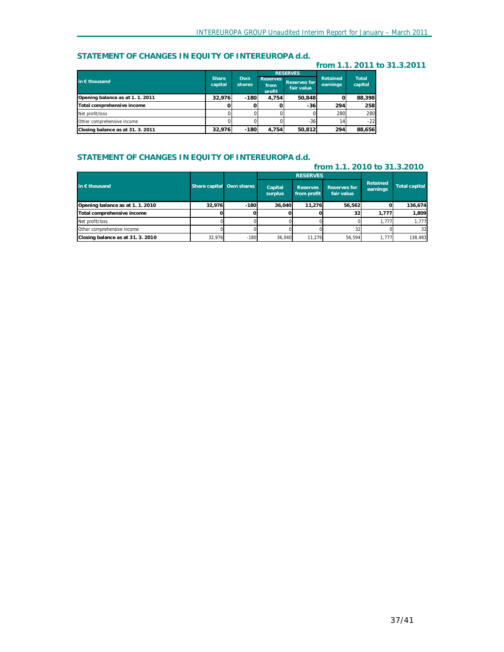# **STATEMENT OF CHANGES IN EQUITY OF INTEREUROPA d.d.**

#### **from 1.1. 2011 to 31.3.2011**

|                                   |                         |               |                                   | <b>RESERVES</b>            |                      |                  |
|-----------------------------------|-------------------------|---------------|-----------------------------------|----------------------------|----------------------|------------------|
| in C thousand                     | <b>Share</b><br>capital | Own<br>shares | <b>Reserves</b><br>from<br>profit | Reserves for<br>fair value | Retained<br>earnings | Total<br>capital |
| Opening balance as at 1.1. 2011   | 32.976                  | $-180$        | 4.754                             | 50.848                     |                      | 88,398           |
| Total comprehensive income        |                         |               |                                   | $-36$                      | 294                  | 258              |
| Net profit/loss                   |                         |               |                                   |                            | 280                  | 280              |
| Other comprehensive income        |                         |               |                                   | $-36$                      | 14.                  | $-22$            |
| Closing balance as at 31. 3. 2011 | 32.976                  | $-180$        | 4.754                             | 50.812                     | 294                  | 88,656           |

## **STATEMENT OF CHANGES IN EQUITY OF INTEREUROPA d.d.**

| from 1.1. 2010 to 31.3.2010     |        |                          |                    |                                |                                   |                      |                      |
|---------------------------------|--------|--------------------------|--------------------|--------------------------------|-----------------------------------|----------------------|----------------------|
|                                 |        |                          |                    | <b>RESERVES</b>                |                                   |                      |                      |
| in $\epsilon$ thousand          |        | Share capital Own shares | Capital<br>surplus | <b>Reserves</b><br>from profit | <b>Reserves for</b><br>fair value | Retained<br>earnings | <b>Total capital</b> |
| Opening balance as at 1.1. 2010 | 32.976 | $-180$                   | 36.040             | 11.276                         | 56,562                            |                      | 136,674              |
| Total comprehensive income      |        |                          |                    |                                | 32                                | 1.777                | 1.809                |
| Net profit/loss                 |        |                          |                    |                                |                                   | 1.777                | 1.777                |
| Other comprehensive income      |        |                          |                    |                                | 32                                |                      | 32                   |
| Closing balance as at 31.3.2010 | 32.976 | $-180$                   | 36.040             | 11,276                         | 56.594                            | 1,777                | 138,483              |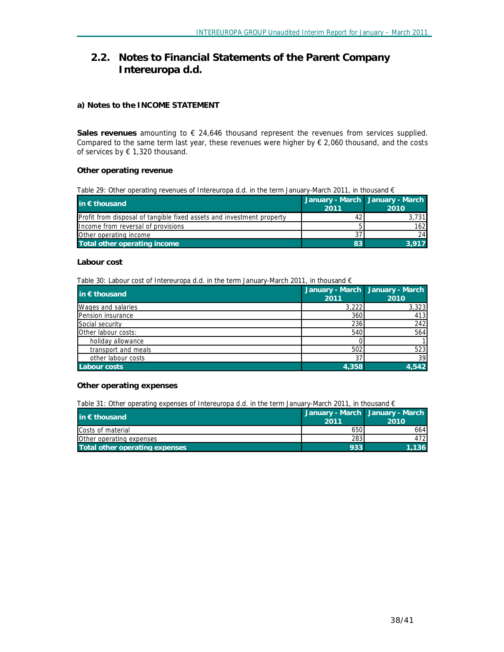# **2.2. Notes to Financial Statements of the Parent Company Intereuropa d.d.**

## **a) Notes to the INCOME STATEMENT**

**Sales revenues** amounting to € 24,646 thousand represent the revenues from services supplied. Compared to the same term last year, these revenues were higher by € 2,060 thousand, and the costs of services by € 1,320 thousand.

## **Other operating revenue**

*Table 29: Other operating revenues of Intereuropa d.d. in the term January-March 2011, in thousand €* 

| in $\epsilon$ thousand                                                       |      | January - March January - March |
|------------------------------------------------------------------------------|------|---------------------------------|
|                                                                              | 2011 | 2010                            |
| <b>Profit from disposal of tangible fixed assets and investment property</b> |      | 3.731                           |
| Income from reversal of provisions                                           |      | 162                             |
| Other operating income                                                       |      | 24                              |
| Total other operating income                                                 | 83   | 3.917                           |

#### **Labour cost**

*Table 30: Labour cost of Intereuropa d.d. in the term January-March 2011, in thousand €* 

| in $\epsilon$ thousand   | 2011 |       | January - March January - March<br>2010 |
|--------------------------|------|-------|-----------------------------------------|
| Wages and salaries       |      | 3,222 | 3,323                                   |
| <b>Pension insurance</b> |      | 360   | 413                                     |
| Social security          |      | 236   | 242                                     |
| Other labour costs:      |      | 540   | 564                                     |
| holiday allowance        |      |       |                                         |
| transport and meals      |      | 502   | 523                                     |
| other labour costs       |      | 37    | 39 <sub>1</sub>                         |
| <b>Labour costs</b>      |      | 4.358 | 4.542                                   |

#### **Other operating expenses**

*Table 31: Other operating expenses of Intereuropa d.d. in the term January-March 2011, in thousand €* 

| in $\epsilon$ thousand         | 2011 | January - March January - March<br>2010 |
|--------------------------------|------|-----------------------------------------|
| Costs of material              | 6501 | 664                                     |
| Other operating expenses       | 283  | 472                                     |
| Total other operating expenses | 933  | 1.136                                   |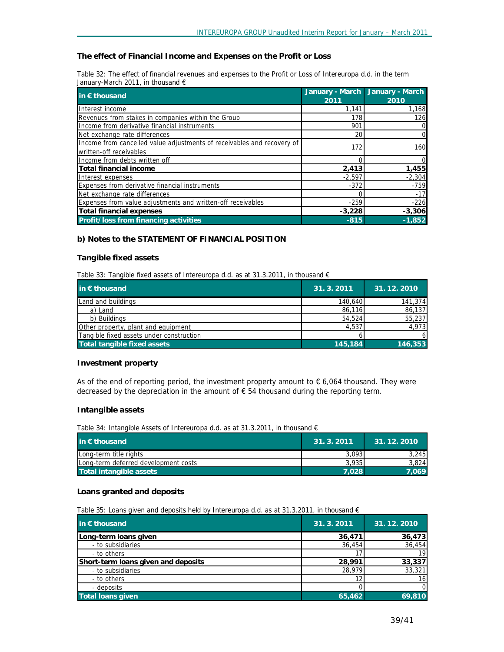#### **The effect of Financial Income and Expenses on the Profit or Loss**

Table 32: The effect of financial revenues and expenses to the Profit or Loss of Intereuropa d.d. in the term *January-March 2011, in thousand €* 

| in $\epsilon$ thousand                                                                            | 2011     | January - March January - March<br>2010 |
|---------------------------------------------------------------------------------------------------|----------|-----------------------------------------|
| Interest income                                                                                   | 1.141    | 1,168                                   |
| Revenues from stakes in companies within the Group                                                | 178      | 126                                     |
| Income from derivative financial instruments                                                      | 901      |                                         |
| Net exchange rate differences                                                                     | 20       |                                         |
| Income from cancelled value adjustments of receivables and recovery of<br>written-off receivables | 172      | 160                                     |
| Income from debts written off                                                                     |          |                                         |
| Total financial income                                                                            | 2,413    | 1,455                                   |
| Interest expenses                                                                                 | $-2.597$ | $-2,304$                                |
| Expenses from derivative financial instruments                                                    | $-372$   | $-759$                                  |
| Net exchange rate differences                                                                     |          | $-17$                                   |
| Expenses from value adjustments and written-off receivables                                       | $-259$   | $-226$                                  |
| Total financial expenses                                                                          | $-3,228$ | $-3,306$                                |
| Profit/loss from financing activities                                                             | $-815$   | $-1,852$                                |

#### **b) Notes to the STATEMENT OF FINANCIAL POSITION**

#### **Tangible fixed assets**

*Table 33: Tangible fixed assets of Intereuropa d.d. as at 31.3.2011, in thousand €* 

| in $\epsilon$ thousand                   | 31. 3. 2011 | 31.12.2010 |
|------------------------------------------|-------------|------------|
| Land and buildings                       | 140,640     | 141,374    |
| a) Land                                  | 86,116      | 86,137     |
| b) Buildings                             | 54,524      | 55,237     |
| Other property, plant and equipment      | 4.537       | 4,973      |
| Tangible fixed assets under construction |             | 6          |
| Total tangible fixed assets              | 145,184     | 146,353    |

#### **Investment property**

As of the end of reporting period, the investment property amount to  $\epsilon$  6,064 thousand. They were decreased by the depreciation in the amount of  $\epsilon$  54 thousand during the reporting term.

#### **Intangible assets**

*Table 34: Intangible Assets of Intereuropa d.d. as at 31.3.2011, in thousand €* 

| $\mathsf{in} \in \mathsf{thousand}$  | 31.3.2011 | 31.12.2010 |
|--------------------------------------|-----------|------------|
| Long-term title rights               | 3.093     | 3.245      |
| Long-term deferred development costs | 3.935     | 3.824      |
| Total intangible assets              | 7.028     | 7.069      |

#### **Loans granted and deposits**

*Table 35: Loans given and deposits held by Intereuropa d.d. as at 31.3.2011, in thousand €* 

| in € thousand                       | 31.3.2011 | 31.12.2010 |
|-------------------------------------|-----------|------------|
| Long-term loans given               | 36,471    | 36,473     |
| - to subsidiaries                   | 36,454    | 36,454     |
| - to others                         |           | 19         |
| Short-term loans given and deposits | 28,991    | 33,337     |
| - to subsidiaries                   | 28,979    | 33,321     |
| - to others                         |           | 16         |
| - deposits                          |           | 0          |
| <b>Total loans given</b>            | 65,462    | 69,810     |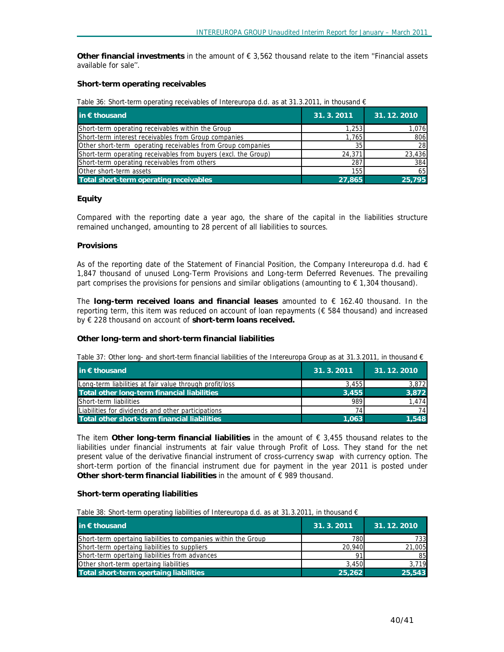**Other financial investments** in the amount of € 3,562 thousand relate to the item ''Financial assets available for sale''.

## **Short-term operating receivables**

*Table 36: Short-term operating receivables of Intereuropa d.d. as at 31.3.2011, in thousand €* 

| in $\epsilon$ thousand                                         | 31.3.2011 | 31.12.2010 |
|----------------------------------------------------------------|-----------|------------|
| Short-term operating receivables within the Group              | 1.253     | 1,076      |
| Short-term interest receivables from Group companies           | 1.765     | 806        |
| Other short-term operating receivables from Group companies    | 35        | 28         |
| Short-term operating receivables from buyers (excl. the Group) | 24,371    | 23,436     |
| Short-term operating receivables from others                   | 287       | 384        |
| Other short-term assets                                        | 155       | 65         |
| Total short-term operating receivables                         | 27.865    | 25.795     |

## **Equity**

Compared with the reporting date a year ago, the share of the capital in the liabilities structure remained unchanged, amounting to 28 percent of all liabilities to sources.

#### **Provisions**

As of the reporting date of the Statement of Financial Position, the Company Intereuropa d.d. had  $\epsilon$ 1,847 thousand of unused Long-Term Provisions and Long-term Deferred Revenues. The prevailing part comprises the provisions for pensions and similar obligations (amounting to  $\epsilon$  1,304 thousand).

The **long-term received loans and financial leases** amounted to € 162.40 thousand. In the reporting term, this item was reduced on account of loan repayments (€ 584 thousand) and increased by € 228 thousand on account of **short-term loans received.** 

## **Other long-term and short-term financial liabilities**

Table 37: Other long- and short-term financial liabilities of the Intereuropa Group as at 31.3.2011, in thousand  $\epsilon$ 

| in $\epsilon$ thousand                                  | 31.3.2011 | 31.12.2010 |
|---------------------------------------------------------|-----------|------------|
| Long-term liabilities at fair value through profit/loss | 3.455     | 3,872      |
| Total other long-term financial liabilities             | 3.455     | 3,872      |
| Short-term liabilities                                  | 989       | 1.474      |
| Liabilities for dividends and other participations      | 74.       | 741        |
| Total other short-term financial liabilities            | 1.063     | 1.548      |

The item **Other long-term financial liabilities** in the amount of € 3,455 thousand relates to the liabilities under financial instruments at fair value through Profit of Loss. They stand for the net present value of the derivative financial instrument of cross-currency swap with currency option. The short-term portion of the financial instrument due for payment in the year 2011 is posted under **Other short-term financial liabilities** in the amount of € 989 thousand.

## **Short-term operating liabilities**

*Table 38: Short-term operating liabilities of Intereuropa d.d. as at 31.3.2011, in thousand €* 

| in € thousand                                                  | 31.3.2011 | 31.12.2010 |
|----------------------------------------------------------------|-----------|------------|
| Short-term opertaing liabilities to companies within the Group | 780       | 733        |
| Short-term opertaing liabilities to suppliers                  | 20,940    | 21,005     |
| Short-term opertaing liabilities from advances                 |           | 85         |
| Other short-term opertaing liabilities                         | 3,450     | 3.719      |
| Total short-term opertaing liabilities                         | 25.262    | 25,543     |